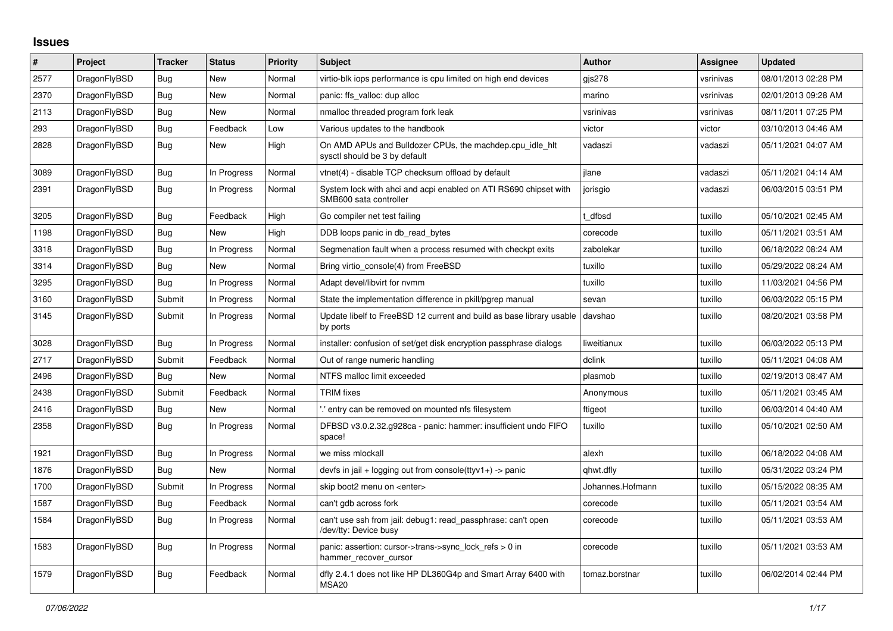## **Issues**

| #    | Project      | <b>Tracker</b> | <b>Status</b> | <b>Priority</b> | <b>Subject</b>                                                                             | <b>Author</b>    | Assignee  | <b>Updated</b>      |
|------|--------------|----------------|---------------|-----------------|--------------------------------------------------------------------------------------------|------------------|-----------|---------------------|
| 2577 | DragonFlyBSD | Bug            | New           | Normal          | virtio-blk iops performance is cpu limited on high end devices                             | gis278           | vsrinivas | 08/01/2013 02:28 PM |
| 2370 | DragonFlyBSD | <b>Bug</b>     | <b>New</b>    | Normal          | panic: ffs valloc: dup alloc                                                               | marino           | vsrinivas | 02/01/2013 09:28 AM |
| 2113 | DragonFlyBSD | Bug            | New           | Normal          | nmalloc threaded program fork leak                                                         | vsrinivas        | vsrinivas | 08/11/2011 07:25 PM |
| 293  | DragonFlyBSD | Bug            | Feedback      | Low             | Various updates to the handbook                                                            | victor           | victor    | 03/10/2013 04:46 AM |
| 2828 | DragonFlyBSD | <b>Bug</b>     | New           | High            | On AMD APUs and Bulldozer CPUs, the machdep.cpu idle hit<br>sysctl should be 3 by default  | vadaszi          | vadaszi   | 05/11/2021 04:07 AM |
| 3089 | DragonFlyBSD | <b>Bug</b>     | In Progress   | Normal          | vtnet(4) - disable TCP checksum offload by default                                         | ilane            | vadaszi   | 05/11/2021 04:14 AM |
| 2391 | DragonFlyBSD | <b>Bug</b>     | In Progress   | Normal          | System lock with ahci and acpi enabled on ATI RS690 chipset with<br>SMB600 sata controller | jorisgio         | vadaszi   | 06/03/2015 03:51 PM |
| 3205 | DragonFlyBSD | <b>Bug</b>     | Feedback      | High            | Go compiler net test failing                                                               | dfbsd            | tuxillo   | 05/10/2021 02:45 AM |
| 1198 | DragonFlyBSD | Bug            | New           | High            | DDB loops panic in db read bytes                                                           | corecode         | tuxillo   | 05/11/2021 03:51 AM |
| 3318 | DragonFlyBSD | Bug            | In Progress   | Normal          | Segmenation fault when a process resumed with checkpt exits                                | zabolekar        | tuxillo   | 06/18/2022 08:24 AM |
| 3314 | DragonFlyBSD | Bug            | <b>New</b>    | Normal          | Bring virtio console(4) from FreeBSD                                                       | tuxillo          | tuxillo   | 05/29/2022 08:24 AM |
| 3295 | DragonFlyBSD | <b>Bug</b>     | In Progress   | Normal          | Adapt devel/libvirt for nvmm                                                               | tuxillo          | tuxillo   | 11/03/2021 04:56 PM |
| 3160 | DragonFlyBSD | Submit         | In Progress   | Normal          | State the implementation difference in pkill/pgrep manual                                  | sevan            | tuxillo   | 06/03/2022 05:15 PM |
| 3145 | DragonFlyBSD | Submit         | In Progress   | Normal          | Update libelf to FreeBSD 12 current and build as base library usable<br>by ports           | davshao          | tuxillo   | 08/20/2021 03:58 PM |
| 3028 | DragonFlyBSD | Bug            | In Progress   | Normal          | installer: confusion of set/get disk encryption passphrase dialogs                         | liweitianux      | tuxillo   | 06/03/2022 05:13 PM |
| 2717 | DragonFlyBSD | Submit         | Feedback      | Normal          | Out of range numeric handling                                                              | dclink           | tuxillo   | 05/11/2021 04:08 AM |
| 2496 | DragonFlyBSD | Bug            | New           | Normal          | NTFS malloc limit exceeded                                                                 | plasmob          | tuxillo   | 02/19/2013 08:47 AM |
| 2438 | DragonFlyBSD | Submit         | Feedback      | Normal          | TRIM fixes                                                                                 | Anonymous        | tuxillo   | 05/11/2021 03:45 AM |
| 2416 | DragonFlyBSD | <b>Bug</b>     | <b>New</b>    | Normal          | .' entry can be removed on mounted nfs filesystem                                          | ftigeot          | tuxillo   | 06/03/2014 04:40 AM |
| 2358 | DragonFlyBSD | <b>Bug</b>     | In Progress   | Normal          | DFBSD v3.0.2.32.g928ca - panic: hammer: insufficient undo FIFO<br>space!                   | tuxillo          | tuxillo   | 05/10/2021 02:50 AM |
| 1921 | DragonFlyBSD | Bug            | In Progress   | Normal          | we miss mlockall                                                                           | alexh            | tuxillo   | 06/18/2022 04:08 AM |
| 1876 | DragonFlyBSD | Bug            | New           | Normal          | devfs in jail + logging out from console(ttyv1+) -> panic                                  | qhwt.dfly        | tuxillo   | 05/31/2022 03:24 PM |
| 1700 | DragonFlyBSD | Submit         | In Progress   | Normal          | skip boot2 menu on <enter></enter>                                                         | Johannes.Hofmann | tuxillo   | 05/15/2022 08:35 AM |
| 1587 | DragonFlyBSD | Bug            | Feedback      | Normal          | can't gdb across fork                                                                      | corecode         | tuxillo   | 05/11/2021 03:54 AM |
| 1584 | DragonFlyBSD | Bug            | In Progress   | Normal          | can't use ssh from jail: debug1: read_passphrase: can't open<br>/dev/tty: Device busy      | corecode         | tuxillo   | 05/11/2021 03:53 AM |
| 1583 | DragonFlyBSD | <b>Bug</b>     | In Progress   | Normal          | panic: assertion: cursor->trans->sync_lock_refs > 0 in<br>hammer_recover_cursor            | corecode         | tuxillo   | 05/11/2021 03:53 AM |
| 1579 | DragonFlyBSD | <b>Bug</b>     | Feedback      | Normal          | dfly 2.4.1 does not like HP DL360G4p and Smart Array 6400 with<br>MSA <sub>20</sub>        | tomaz.borstnar   | tuxillo   | 06/02/2014 02:44 PM |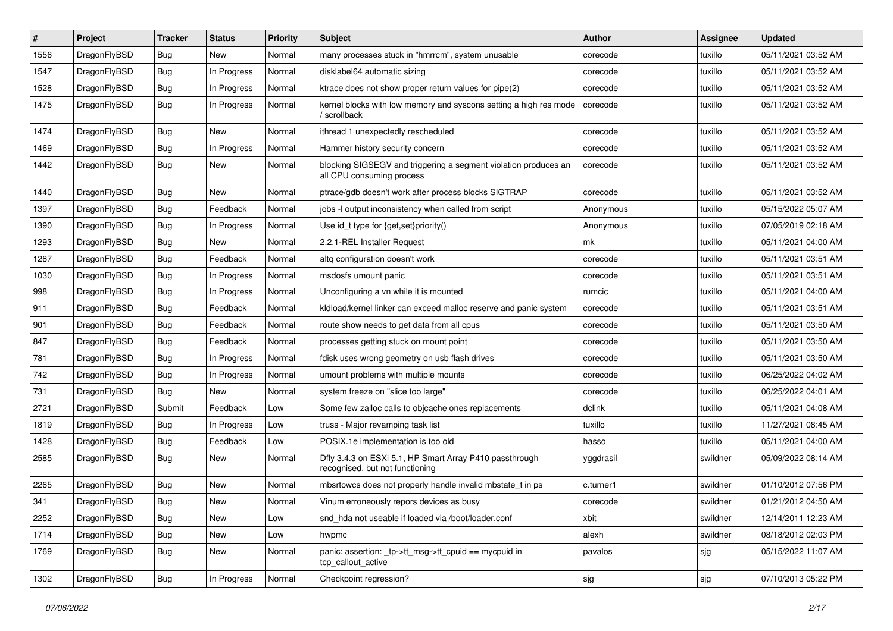| $\#$ | Project      | <b>Tracker</b> | <b>Status</b> | <b>Priority</b> | <b>Subject</b>                                                                               | <b>Author</b> | Assignee | <b>Updated</b>      |
|------|--------------|----------------|---------------|-----------------|----------------------------------------------------------------------------------------------|---------------|----------|---------------------|
| 1556 | DragonFlyBSD | <b>Bug</b>     | New           | Normal          | many processes stuck in "hmrrcm", system unusable                                            | corecode      | tuxillo  | 05/11/2021 03:52 AM |
| 1547 | DragonFlyBSD | <b>Bug</b>     | In Progress   | Normal          | disklabel64 automatic sizing                                                                 | corecode      | tuxillo  | 05/11/2021 03:52 AM |
| 1528 | DragonFlyBSD | Bug            | In Progress   | Normal          | ktrace does not show proper return values for pipe(2)                                        | corecode      | tuxillo  | 05/11/2021 03:52 AM |
| 1475 | DragonFlyBSD | Bug            | In Progress   | Normal          | kernel blocks with low memory and syscons setting a high res mode<br>' scrollback            | corecode      | tuxillo  | 05/11/2021 03:52 AM |
| 1474 | DragonFlyBSD | <b>Bug</b>     | New           | Normal          | ithread 1 unexpectedly rescheduled                                                           | corecode      | tuxillo  | 05/11/2021 03:52 AM |
| 1469 | DragonFlyBSD | <b>Bug</b>     | In Progress   | Normal          | Hammer history security concern                                                              | corecode      | tuxillo  | 05/11/2021 03:52 AM |
| 1442 | DragonFlyBSD | <b>Bug</b>     | New           | Normal          | blocking SIGSEGV and triggering a segment violation produces an<br>all CPU consuming process | corecode      | tuxillo  | 05/11/2021 03:52 AM |
| 1440 | DragonFlyBSD | <b>Bug</b>     | New           | Normal          | ptrace/gdb doesn't work after process blocks SIGTRAP                                         | corecode      | tuxillo  | 05/11/2021 03:52 AM |
| 1397 | DragonFlyBSD | <b>Bug</b>     | Feedback      | Normal          | jobs -I output inconsistency when called from script                                         | Anonymous     | tuxillo  | 05/15/2022 05:07 AM |
| 1390 | DragonFlyBSD | Bug            | In Progress   | Normal          | Use id_t type for $\{get, set\}$ priority $()$                                               | Anonymous     | tuxillo  | 07/05/2019 02:18 AM |
| 1293 | DragonFlyBSD | Bug            | New           | Normal          | 2.2.1-REL Installer Request                                                                  | mk            | tuxillo  | 05/11/2021 04:00 AM |
| 1287 | DragonFlyBSD | <b>Bug</b>     | Feedback      | Normal          | altg configuration doesn't work                                                              | corecode      | tuxillo  | 05/11/2021 03:51 AM |
| 1030 | DragonFlyBSD | <b>Bug</b>     | In Progress   | Normal          | msdosfs umount panic                                                                         | corecode      | tuxillo  | 05/11/2021 03:51 AM |
| 998  | DragonFlyBSD | Bug            | In Progress   | Normal          | Unconfiguring a vn while it is mounted                                                       | rumcic        | tuxillo  | 05/11/2021 04:00 AM |
| 911  | DragonFlyBSD | Bug            | Feedback      | Normal          | kldload/kernel linker can exceed malloc reserve and panic system                             | corecode      | tuxillo  | 05/11/2021 03:51 AM |
| 901  | DragonFlyBSD | <b>Bug</b>     | Feedback      | Normal          | route show needs to get data from all cpus                                                   | corecode      | tuxillo  | 05/11/2021 03:50 AM |
| 847  | DragonFlyBSD | Bug            | Feedback      | Normal          | processes getting stuck on mount point                                                       | corecode      | tuxillo  | 05/11/2021 03:50 AM |
| 781  | DragonFlyBSD | Bug            | In Progress   | Normal          | fdisk uses wrong geometry on usb flash drives                                                | corecode      | tuxillo  | 05/11/2021 03:50 AM |
| 742  | DragonFlyBSD | Bug            | In Progress   | Normal          | umount problems with multiple mounts                                                         | corecode      | tuxillo  | 06/25/2022 04:02 AM |
| 731  | DragonFlyBSD | Bug            | New           | Normal          | system freeze on "slice too large"                                                           | corecode      | tuxillo  | 06/25/2022 04:01 AM |
| 2721 | DragonFlyBSD | Submit         | Feedback      | Low             | Some few zalloc calls to objcache ones replacements                                          | dclink        | tuxillo  | 05/11/2021 04:08 AM |
| 1819 | DragonFlyBSD | Bug            | In Progress   | Low             | truss - Major revamping task list                                                            | tuxillo       | tuxillo  | 11/27/2021 08:45 AM |
| 1428 | DragonFlyBSD | Bug            | Feedback      | Low             | POSIX.1e implementation is too old                                                           | hasso         | tuxillo  | 05/11/2021 04:00 AM |
| 2585 | DragonFlyBSD | Bug            | New           | Normal          | Dfly 3.4.3 on ESXi 5.1, HP Smart Array P410 passthrough<br>recognised, but not functioning   | yggdrasil     | swildner | 05/09/2022 08:14 AM |
| 2265 | DragonFlyBSD | <b>Bug</b>     | New           | Normal          | mbsrtowcs does not properly handle invalid mbstate_t in ps                                   | c.turner1     | swildner | 01/10/2012 07:56 PM |
| 341  | DragonFlyBSD | Bug            | New           | Normal          | Vinum erroneously repors devices as busy                                                     | corecode      | swildner | 01/21/2012 04:50 AM |
| 2252 | DragonFlyBSD | Bug            | New           | Low             | snd hda not useable if loaded via /boot/loader.conf                                          | xbit          | swildner | 12/14/2011 12:23 AM |
| 1714 | DragonFlyBSD | Bug            | New           | Low             | hwpmc                                                                                        | alexh         | swildner | 08/18/2012 02:03 PM |
| 1769 | DragonFlyBSD | <b>Bug</b>     | New           | Normal          | panic: assertion: _tp->tt_msg->tt_cpuid == mycpuid in<br>tcp callout active                  | pavalos       | sjg      | 05/15/2022 11:07 AM |
| 1302 | DragonFlyBSD | Bug            | In Progress   | Normal          | Checkpoint regression?                                                                       | sjg           | sjg      | 07/10/2013 05:22 PM |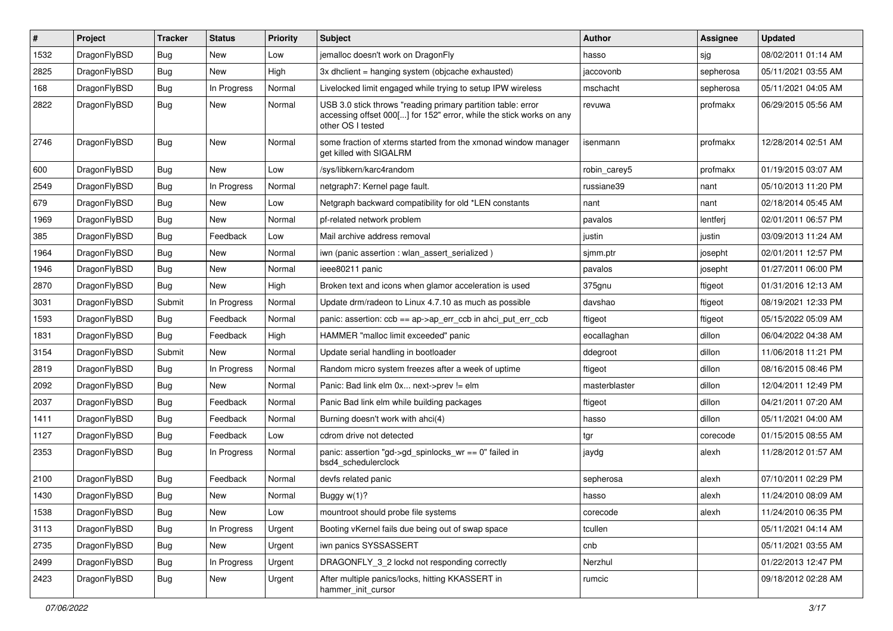| ∦    | Project      | <b>Tracker</b> | <b>Status</b> | <b>Priority</b> | Subject                                                                                                                                                  | <b>Author</b> | Assignee  | <b>Updated</b>      |
|------|--------------|----------------|---------------|-----------------|----------------------------------------------------------------------------------------------------------------------------------------------------------|---------------|-----------|---------------------|
| 1532 | DragonFlyBSD | <b>Bug</b>     | New           | Low             | jemalloc doesn't work on DragonFly                                                                                                                       | hasso         | sjg       | 08/02/2011 01:14 AM |
| 2825 | DragonFlyBSD | Bug            | New           | High            | 3x dholient = hanging system (objoache exhausted)                                                                                                        | jaccovonb     | sepherosa | 05/11/2021 03:55 AM |
| 168  | DragonFlyBSD | <b>Bug</b>     | In Progress   | Normal          | Livelocked limit engaged while trying to setup IPW wireless                                                                                              | mschacht      | sepherosa | 05/11/2021 04:05 AM |
| 2822 | DragonFlyBSD | Bug            | New           | Normal          | USB 3.0 stick throws "reading primary partition table: error<br>accessing offset 000[] for 152" error, while the stick works on any<br>other OS I tested | revuwa        | profmakx  | 06/29/2015 05:56 AM |
| 2746 | DragonFlyBSD | Bug            | New           | Normal          | some fraction of xterms started from the xmonad window manager<br>get killed with SIGALRM                                                                | isenmann      | profmakx  | 12/28/2014 02:51 AM |
| 600  | DragonFlyBSD | <b>Bug</b>     | New           | Low             | /sys/libkern/karc4random                                                                                                                                 | robin carey5  | profmakx  | 01/19/2015 03:07 AM |
| 2549 | DragonFlyBSD | <b>Bug</b>     | In Progress   | Normal          | netgraph7: Kernel page fault.                                                                                                                            | russiane39    | nant      | 05/10/2013 11:20 PM |
| 679  | DragonFlyBSD | <b>Bug</b>     | New           | Low             | Netgraph backward compatibility for old *LEN constants                                                                                                   | nant          | nant      | 02/18/2014 05:45 AM |
| 1969 | DragonFlyBSD | <b>Bug</b>     | New           | Normal          | pf-related network problem                                                                                                                               | pavalos       | lentferj  | 02/01/2011 06:57 PM |
| 385  | DragonFlyBSD | <b>Bug</b>     | Feedback      | Low             | Mail archive address removal                                                                                                                             | justin        | justin    | 03/09/2013 11:24 AM |
| 1964 | DragonFlyBSD | <b>Bug</b>     | New           | Normal          | iwn (panic assertion : wlan assert serialized)                                                                                                           | sjmm.ptr      | josepht   | 02/01/2011 12:57 PM |
| 1946 | DragonFlyBSD | <b>Bug</b>     | New           | Normal          | ieee80211 panic                                                                                                                                          | pavalos       | josepht   | 01/27/2011 06:00 PM |
| 2870 | DragonFlyBSD | Bug            | New           | High            | Broken text and icons when glamor acceleration is used                                                                                                   | 375gnu        | ftigeot   | 01/31/2016 12:13 AM |
| 3031 | DragonFlyBSD | Submit         | In Progress   | Normal          | Update drm/radeon to Linux 4.7.10 as much as possible                                                                                                    | davshao       | ftigeot   | 08/19/2021 12:33 PM |
| 1593 | DragonFlyBSD | Bug            | Feedback      | Normal          | panic: assertion: $ccb = ap > ap$ err $ccb$ in ahci put err $ccb$                                                                                        | ftigeot       | ftigeot   | 05/15/2022 05:09 AM |
| 1831 | DragonFlyBSD | Bug            | Feedback      | High            | HAMMER "malloc limit exceeded" panic                                                                                                                     | eocallaghan   | dillon    | 06/04/2022 04:38 AM |
| 3154 | DragonFlyBSD | Submit         | New           | Normal          | Update serial handling in bootloader                                                                                                                     | ddegroot      | dillon    | 11/06/2018 11:21 PM |
| 2819 | DragonFlyBSD | <b>Bug</b>     | In Progress   | Normal          | Random micro system freezes after a week of uptime                                                                                                       | ftigeot       | dillon    | 08/16/2015 08:46 PM |
| 2092 | DragonFlyBSD | <b>Bug</b>     | New           | Normal          | Panic: Bad link elm 0x next->prev != elm                                                                                                                 | masterblaster | dillon    | 12/04/2011 12:49 PM |
| 2037 | DragonFlyBSD | <b>Bug</b>     | Feedback      | Normal          | Panic Bad link elm while building packages                                                                                                               | ftigeot       | dillon    | 04/21/2011 07:20 AM |
| 1411 | DragonFlyBSD | <b>Bug</b>     | Feedback      | Normal          | Burning doesn't work with ahci(4)                                                                                                                        | hasso         | dillon    | 05/11/2021 04:00 AM |
| 1127 | DragonFlyBSD | <b>Bug</b>     | Feedback      | Low             | cdrom drive not detected                                                                                                                                 | tgr           | corecode  | 01/15/2015 08:55 AM |
| 2353 | DragonFlyBSD | <b>Bug</b>     | In Progress   | Normal          | panic: assertion "gd->gd_spinlocks_wr == 0" failed in<br>bsd4_schedulerclock                                                                             | jaydg         | alexh     | 11/28/2012 01:57 AM |
| 2100 | DragonFlyBSD | <b>Bug</b>     | Feedback      | Normal          | devfs related panic                                                                                                                                      | sepherosa     | alexh     | 07/10/2011 02:29 PM |
| 1430 | DragonFlyBSD | <b>Bug</b>     | New           | Normal          | Buggy w(1)?                                                                                                                                              | hasso         | alexh     | 11/24/2010 08:09 AM |
| 1538 | DragonFlyBSD | <b>Bug</b>     | New           | Low             | mountroot should probe file systems                                                                                                                      | corecode      | alexh     | 11/24/2010 06:35 PM |
| 3113 | DragonFlyBSD | <b>Bug</b>     | In Progress   | Urgent          | Booting vKernel fails due being out of swap space                                                                                                        | tcullen       |           | 05/11/2021 04:14 AM |
| 2735 | DragonFlyBSD | <b>Bug</b>     | New           | Urgent          | iwn panics SYSSASSERT                                                                                                                                    | cnb           |           | 05/11/2021 03:55 AM |
| 2499 | DragonFlyBSD | <b>Bug</b>     | In Progress   | Urgent          | DRAGONFLY 3 2 lockd not responding correctly                                                                                                             | Nerzhul       |           | 01/22/2013 12:47 PM |
| 2423 | DragonFlyBSD | <b>Bug</b>     | New           | Urgent          | After multiple panics/locks, hitting KKASSERT in<br>hammer_init_cursor                                                                                   | rumcic        |           | 09/18/2012 02:28 AM |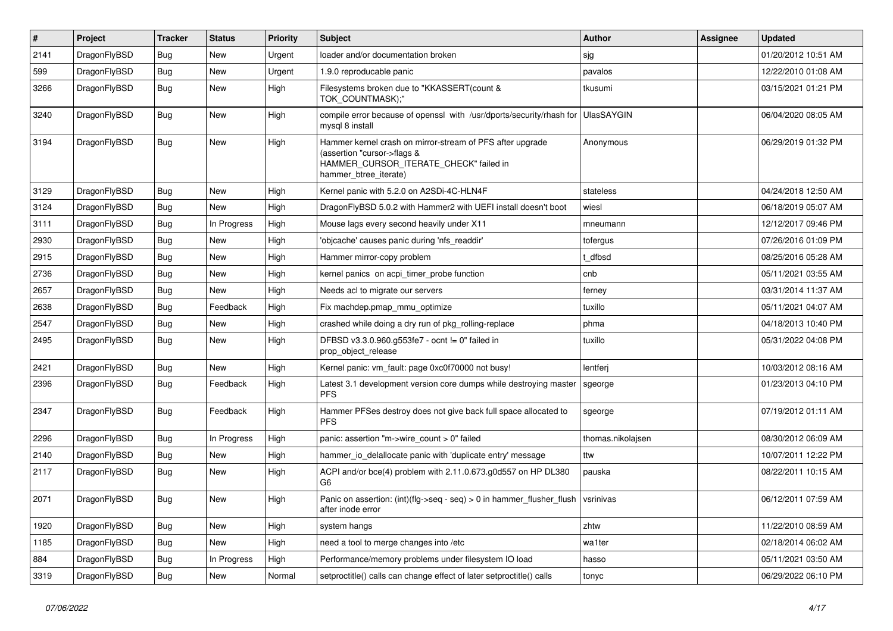| $\vert$ # | Project      | <b>Tracker</b> | <b>Status</b> | <b>Priority</b> | <b>Subject</b>                                                                                                                                              | <b>Author</b>     | Assignee | <b>Updated</b>      |
|-----------|--------------|----------------|---------------|-----------------|-------------------------------------------------------------------------------------------------------------------------------------------------------------|-------------------|----------|---------------------|
| 2141      | DragonFlyBSD | <b>Bug</b>     | <b>New</b>    | Urgent          | loader and/or documentation broken                                                                                                                          | sjg               |          | 01/20/2012 10:51 AM |
| 599       | DragonFlyBSD | <b>Bug</b>     | <b>New</b>    | Urgent          | 1.9.0 reproducable panic                                                                                                                                    | pavalos           |          | 12/22/2010 01:08 AM |
| 3266      | DragonFlyBSD | <b>Bug</b>     | New           | High            | Filesystems broken due to "KKASSERT(count &<br>TOK_COUNTMASK);"                                                                                             | tkusumi           |          | 03/15/2021 01:21 PM |
| 3240      | DragonFlyBSD | <b>Bug</b>     | <b>New</b>    | High            | compile error because of openssl with /usr/dports/security/rhash for<br>mysql 8 install                                                                     | <b>UlasSAYGIN</b> |          | 06/04/2020 08:05 AM |
| 3194      | DragonFlyBSD | Bug            | New           | High            | Hammer kernel crash on mirror-stream of PFS after upgrade<br>(assertion "cursor->flags &<br>HAMMER CURSOR ITERATE CHECK" failed in<br>hammer btree iterate) | Anonymous         |          | 06/29/2019 01:32 PM |
| 3129      | DragonFlyBSD | Bug            | New           | High            | Kernel panic with 5.2.0 on A2SDi-4C-HLN4F                                                                                                                   | stateless         |          | 04/24/2018 12:50 AM |
| 3124      | DragonFlyBSD | Bug            | New           | High            | DragonFlyBSD 5.0.2 with Hammer2 with UEFI install doesn't boot                                                                                              | wiesl             |          | 06/18/2019 05:07 AM |
| 3111      | DragonFlyBSD | Bug            | In Progress   | High            | Mouse lags every second heavily under X11                                                                                                                   | mneumann          |          | 12/12/2017 09:46 PM |
| 2930      | DragonFlyBSD | <b>Bug</b>     | New           | High            | 'objcache' causes panic during 'nfs readdir'                                                                                                                | tofergus          |          | 07/26/2016 01:09 PM |
| 2915      | DragonFlyBSD | Bug            | New           | High            | Hammer mirror-copy problem                                                                                                                                  | t dfbsd           |          | 08/25/2016 05:28 AM |
| 2736      | DragonFlyBSD | Bug            | New           | High            | kernel panics on acpi timer probe function                                                                                                                  | cnb               |          | 05/11/2021 03:55 AM |
| 2657      | DragonFlyBSD | Bug            | New           | High            | Needs acl to migrate our servers                                                                                                                            | ferney            |          | 03/31/2014 11:37 AM |
| 2638      | DragonFlyBSD | Bug            | Feedback      | High            | Fix machdep.pmap mmu optimize                                                                                                                               | tuxillo           |          | 05/11/2021 04:07 AM |
| 2547      | DragonFlyBSD | Bug            | New           | High            | crashed while doing a dry run of pkg_rolling-replace                                                                                                        | phma              |          | 04/18/2013 10:40 PM |
| 2495      | DragonFlyBSD | <b>Bug</b>     | <b>New</b>    | High            | DFBSD v3.3.0.960.g553fe7 - ocnt != 0" failed in<br>prop_object_release                                                                                      | tuxillo           |          | 05/31/2022 04:08 PM |
| 2421      | DragonFlyBSD | <b>Bug</b>     | <b>New</b>    | High            | Kernel panic: vm fault: page 0xc0f70000 not busy!                                                                                                           | lentferj          |          | 10/03/2012 08:16 AM |
| 2396      | DragonFlyBSD | <b>Bug</b>     | Feedback      | High            | Latest 3.1 development version core dumps while destroying master<br><b>PFS</b>                                                                             | sgeorge           |          | 01/23/2013 04:10 PM |
| 2347      | DragonFlyBSD | <b>Bug</b>     | Feedback      | High            | Hammer PFSes destroy does not give back full space allocated to<br><b>PFS</b>                                                                               | sgeorge           |          | 07/19/2012 01:11 AM |
| 2296      | DragonFlyBSD | Bug            | In Progress   | High            | panic: assertion "m->wire_count > 0" failed                                                                                                                 | thomas.nikolajsen |          | 08/30/2012 06:09 AM |
| 2140      | DragonFlyBSD | Bug            | <b>New</b>    | High            | hammer io delallocate panic with 'duplicate entry' message                                                                                                  | ttw               |          | 10/07/2011 12:22 PM |
| 2117      | DragonFlyBSD | Bug            | <b>New</b>    | High            | ACPI and/or bce(4) problem with 2.11.0.673.g0d557 on HP DL380<br>G6                                                                                         | pauska            |          | 08/22/2011 10:15 AM |
| 2071      | DragonFlyBSD | <b>Bug</b>     | New           | High            | Panic on assertion: $(int)(flag->seq - seq) > 0$ in hammer flusher flush<br>after inode error                                                               | vsrinivas         |          | 06/12/2011 07:59 AM |
| 1920      | DragonFlyBSD | Bug            | <b>New</b>    | High            | system hangs                                                                                                                                                | zhtw              |          | 11/22/2010 08:59 AM |
| 1185      | DragonFlyBSD | Bug            | New           | High            | need a tool to merge changes into /etc                                                                                                                      | wa1ter            |          | 02/18/2014 06:02 AM |
| 884       | DragonFlyBSD | Bug            | In Progress   | High            | Performance/memory problems under filesystem IO load                                                                                                        | hasso             |          | 05/11/2021 03:50 AM |
| 3319      | DragonFlyBSD | <b>Bug</b>     | <b>New</b>    | Normal          | setproctitle() calls can change effect of later setproctitle() calls                                                                                        | tonyc             |          | 06/29/2022 06:10 PM |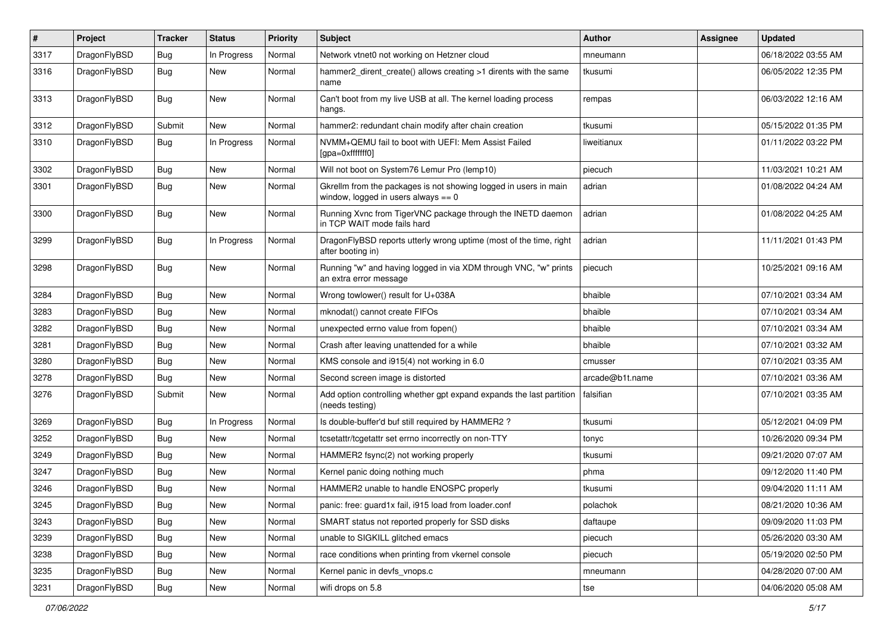| #    | Project      | <b>Tracker</b> | <b>Status</b> | <b>Priority</b> | Subject                                                                                                   | <b>Author</b>   | Assignee | <b>Updated</b>      |
|------|--------------|----------------|---------------|-----------------|-----------------------------------------------------------------------------------------------------------|-----------------|----------|---------------------|
| 3317 | DragonFlyBSD | <b>Bug</b>     | In Progress   | Normal          | Network vtnet0 not working on Hetzner cloud                                                               | mneumann        |          | 06/18/2022 03:55 AM |
| 3316 | DragonFlyBSD | Bug            | New           | Normal          | hammer2_dirent_create() allows creating >1 dirents with the same<br>name                                  | tkusumi         |          | 06/05/2022 12:35 PM |
| 3313 | DragonFlyBSD | Bug            | New           | Normal          | Can't boot from my live USB at all. The kernel loading process<br>hangs.                                  | rempas          |          | 06/03/2022 12:16 AM |
| 3312 | DragonFlyBSD | Submit         | <b>New</b>    | Normal          | hammer2: redundant chain modify after chain creation                                                      | tkusumi         |          | 05/15/2022 01:35 PM |
| 3310 | DragonFlyBSD | Bug            | In Progress   | Normal          | NVMM+QEMU fail to boot with UEFI: Mem Assist Failed<br>[gpa=0xfffffff0]                                   | liweitianux     |          | 01/11/2022 03:22 PM |
| 3302 | DragonFlyBSD | Bug            | New           | Normal          | Will not boot on System76 Lemur Pro (lemp10)                                                              | piecuch         |          | 11/03/2021 10:21 AM |
| 3301 | DragonFlyBSD | <b>Bug</b>     | New           | Normal          | Gkrellm from the packages is not showing logged in users in main<br>window, logged in users always $== 0$ | adrian          |          | 01/08/2022 04:24 AM |
| 3300 | DragonFlyBSD | Bug            | New           | Normal          | Running Xvnc from TigerVNC package through the INETD daemon<br>in TCP WAIT mode fails hard                | adrian          |          | 01/08/2022 04:25 AM |
| 3299 | DragonFlyBSD | Bug            | In Progress   | Normal          | DragonFlyBSD reports utterly wrong uptime (most of the time, right<br>after booting in)                   | adrian          |          | 11/11/2021 01:43 PM |
| 3298 | DragonFlyBSD | Bug            | New           | Normal          | Running "w" and having logged in via XDM through VNC, "w" prints<br>an extra error message                | piecuch         |          | 10/25/2021 09:16 AM |
| 3284 | DragonFlyBSD | <b>Bug</b>     | New           | Normal          | Wrong towlower() result for U+038A                                                                        | bhaible         |          | 07/10/2021 03:34 AM |
| 3283 | DragonFlyBSD | <b>Bug</b>     | New           | Normal          | mknodat() cannot create FIFOs                                                                             | bhaible         |          | 07/10/2021 03:34 AM |
| 3282 | DragonFlyBSD | <b>Bug</b>     | <b>New</b>    | Normal          | unexpected errno value from fopen()                                                                       | bhaible         |          | 07/10/2021 03:34 AM |
| 3281 | DragonFlyBSD | <b>Bug</b>     | New           | Normal          | Crash after leaving unattended for a while                                                                | bhaible         |          | 07/10/2021 03:32 AM |
| 3280 | DragonFlyBSD | <b>Bug</b>     | New           | Normal          | KMS console and i915(4) not working in 6.0                                                                | cmusser         |          | 07/10/2021 03:35 AM |
| 3278 | DragonFlyBSD | <b>Bug</b>     | New           | Normal          | Second screen image is distorted                                                                          | arcade@b1t.name |          | 07/10/2021 03:36 AM |
| 3276 | DragonFlyBSD | Submit         | New           | Normal          | Add option controlling whether gpt expand expands the last partition<br>(needs testing)                   | falsifian       |          | 07/10/2021 03:35 AM |
| 3269 | DragonFlyBSD | <b>Bug</b>     | In Progress   | Normal          | Is double-buffer'd buf still required by HAMMER2 ?                                                        | tkusumi         |          | 05/12/2021 04:09 PM |
| 3252 | DragonFlyBSD | <b>Bug</b>     | New           | Normal          | tcsetattr/tcgetattr set errno incorrectly on non-TTY                                                      | tonyc           |          | 10/26/2020 09:34 PM |
| 3249 | DragonFlyBSD | <b>Bug</b>     | New           | Normal          | HAMMER2 fsync(2) not working properly                                                                     | tkusumi         |          | 09/21/2020 07:07 AM |
| 3247 | DragonFlyBSD | <b>Bug</b>     | New           | Normal          | Kernel panic doing nothing much                                                                           | phma            |          | 09/12/2020 11:40 PM |
| 3246 | DragonFlyBSD | <b>Bug</b>     | New           | Normal          | HAMMER2 unable to handle ENOSPC properly                                                                  | tkusumi         |          | 09/04/2020 11:11 AM |
| 3245 | DragonFlyBSD | <b>Bug</b>     | <b>New</b>    | Normal          | panic: free: guard1x fail, i915 load from loader.conf                                                     | polachok        |          | 08/21/2020 10:36 AM |
| 3243 | DragonFlyBSD | Bug            | New           | Normal          | SMART status not reported properly for SSD disks                                                          | daftaupe        |          | 09/09/2020 11:03 PM |
| 3239 | DragonFlyBSD | <b>Bug</b>     | New           | Normal          | unable to SIGKILL glitched emacs                                                                          | piecuch         |          | 05/26/2020 03:30 AM |
| 3238 | DragonFlyBSD | <b>Bug</b>     | New           | Normal          | race conditions when printing from vkernel console                                                        | piecuch         |          | 05/19/2020 02:50 PM |
| 3235 | DragonFlyBSD | Bug            | New           | Normal          | Kernel panic in devfs vnops.c                                                                             | mneumann        |          | 04/28/2020 07:00 AM |
| 3231 | DragonFlyBSD | <b>Bug</b>     | New           | Normal          | wifi drops on 5.8                                                                                         | tse             |          | 04/06/2020 05:08 AM |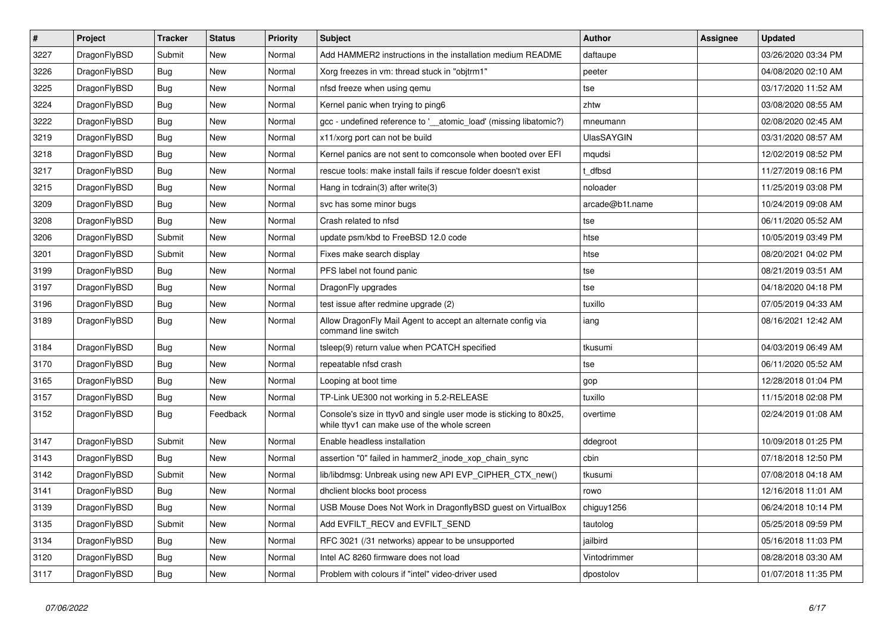| $\vert$ # | <b>Project</b> | <b>Tracker</b> | <b>Status</b> | Priority | <b>Subject</b>                                                                                                     | Author            | Assignee | <b>Updated</b>      |
|-----------|----------------|----------------|---------------|----------|--------------------------------------------------------------------------------------------------------------------|-------------------|----------|---------------------|
| 3227      | DragonFlyBSD   | Submit         | <b>New</b>    | Normal   | Add HAMMER2 instructions in the installation medium README                                                         | daftaupe          |          | 03/26/2020 03:34 PM |
| 3226      | DragonFlyBSD   | Bug            | New           | Normal   | Xorg freezes in vm: thread stuck in "objtrm1"                                                                      | peeter            |          | 04/08/2020 02:10 AM |
| 3225      | DragonFlyBSD   | <b>Bug</b>     | New           | Normal   | nfsd freeze when using gemu                                                                                        | tse               |          | 03/17/2020 11:52 AM |
| 3224      | DragonFlyBSD   | <b>Bug</b>     | New           | Normal   | Kernel panic when trying to ping6                                                                                  | zhtw              |          | 03/08/2020 08:55 AM |
| 3222      | DragonFlyBSD   | <b>Bug</b>     | New           | Normal   | gcc - undefined reference to '__atomic_load' (missing libatomic?)                                                  | mneumann          |          | 02/08/2020 02:45 AM |
| 3219      | DragonFlyBSD   | Bug            | New           | Normal   | x11/xorg port can not be build                                                                                     | <b>UlasSAYGIN</b> |          | 03/31/2020 08:57 AM |
| 3218      | DragonFlyBSD   | Bug            | New           | Normal   | Kernel panics are not sent to comconsole when booted over EFI                                                      | mqudsi            |          | 12/02/2019 08:52 PM |
| 3217      | DragonFlyBSD   | <b>Bug</b>     | New           | Normal   | rescue tools: make install fails if rescue folder doesn't exist                                                    | t dfbsd           |          | 11/27/2019 08:16 PM |
| 3215      | DragonFlyBSD   | <b>Bug</b>     | New           | Normal   | Hang in tcdrain(3) after write(3)                                                                                  | noloader          |          | 11/25/2019 03:08 PM |
| 3209      | DragonFlyBSD   | <b>Bug</b>     | New           | Normal   | svc has some minor bugs                                                                                            | arcade@b1t.name   |          | 10/24/2019 09:08 AM |
| 3208      | DragonFlyBSD   | <b>Bug</b>     | New           | Normal   | Crash related to nfsd                                                                                              | tse               |          | 06/11/2020 05:52 AM |
| 3206      | DragonFlyBSD   | Submit         | New           | Normal   | update psm/kbd to FreeBSD 12.0 code                                                                                | htse              |          | 10/05/2019 03:49 PM |
| 3201      | DragonFlyBSD   | Submit         | New           | Normal   | Fixes make search display                                                                                          | htse              |          | 08/20/2021 04:02 PM |
| 3199      | DragonFlyBSD   | <b>Bug</b>     | New           | Normal   | PFS label not found panic                                                                                          | tse               |          | 08/21/2019 03:51 AM |
| 3197      | DragonFlyBSD   | <b>Bug</b>     | New           | Normal   | DragonFly upgrades                                                                                                 | tse               |          | 04/18/2020 04:18 PM |
| 3196      | DragonFlyBSD   | Bug            | New           | Normal   | test issue after redmine upgrade (2)                                                                               | tuxillo           |          | 07/05/2019 04:33 AM |
| 3189      | DragonFlyBSD   | <b>Bug</b>     | New           | Normal   | Allow DragonFly Mail Agent to accept an alternate config via<br>command line switch                                | iang              |          | 08/16/2021 12:42 AM |
| 3184      | DragonFlyBSD   | <b>Bug</b>     | New           | Normal   | tsleep(9) return value when PCATCH specified                                                                       | tkusumi           |          | 04/03/2019 06:49 AM |
| 3170      | DragonFlyBSD   | <b>Bug</b>     | <b>New</b>    | Normal   | repeatable nfsd crash                                                                                              | tse               |          | 06/11/2020 05:52 AM |
| 3165      | DragonFlyBSD   | <b>Bug</b>     | <b>New</b>    | Normal   | Looping at boot time                                                                                               | gop               |          | 12/28/2018 01:04 PM |
| 3157      | DragonFlyBSD   | <b>Bug</b>     | New           | Normal   | TP-Link UE300 not working in 5.2-RELEASE                                                                           | tuxillo           |          | 11/15/2018 02:08 PM |
| 3152      | DragonFlyBSD   | Bug            | Feedback      | Normal   | Console's size in ttyv0 and single user mode is sticking to 80x25,<br>while ttyv1 can make use of the whole screen | overtime          |          | 02/24/2019 01:08 AM |
| 3147      | DragonFlyBSD   | Submit         | <b>New</b>    | Normal   | Enable headless installation                                                                                       | ddegroot          |          | 10/09/2018 01:25 PM |
| 3143      | DragonFlyBSD   | <b>Bug</b>     | <b>New</b>    | Normal   | assertion "0" failed in hammer2_inode_xop_chain_sync                                                               | cbin              |          | 07/18/2018 12:50 PM |
| 3142      | DragonFlyBSD   | Submit         | <b>New</b>    | Normal   | lib/libdmsg: Unbreak using new API EVP CIPHER CTX new()                                                            | tkusumi           |          | 07/08/2018 04:18 AM |
| 3141      | DragonFlyBSD   | <b>Bug</b>     | New           | Normal   | dhclient blocks boot process                                                                                       | rowo              |          | 12/16/2018 11:01 AM |
| 3139      | DragonFlyBSD   | Bug            | <b>New</b>    | Normal   | USB Mouse Does Not Work in DragonflyBSD guest on VirtualBox                                                        | chiguy1256        |          | 06/24/2018 10:14 PM |
| 3135      | DragonFlyBSD   | Submit         | New           | Normal   | Add EVFILT_RECV and EVFILT_SEND                                                                                    | tautolog          |          | 05/25/2018 09:59 PM |
| 3134      | DragonFlyBSD   | <b>Bug</b>     | <b>New</b>    | Normal   | RFC 3021 (/31 networks) appear to be unsupported                                                                   | jailbird          |          | 05/16/2018 11:03 PM |
| 3120      | DragonFlyBSD   | <b>Bug</b>     | <b>New</b>    | Normal   | Intel AC 8260 firmware does not load                                                                               | Vintodrimmer      |          | 08/28/2018 03:30 AM |
| 3117      | DragonFlyBSD   | Bug            | <b>New</b>    | Normal   | Problem with colours if "intel" video-driver used                                                                  | dpostolov         |          | 01/07/2018 11:35 PM |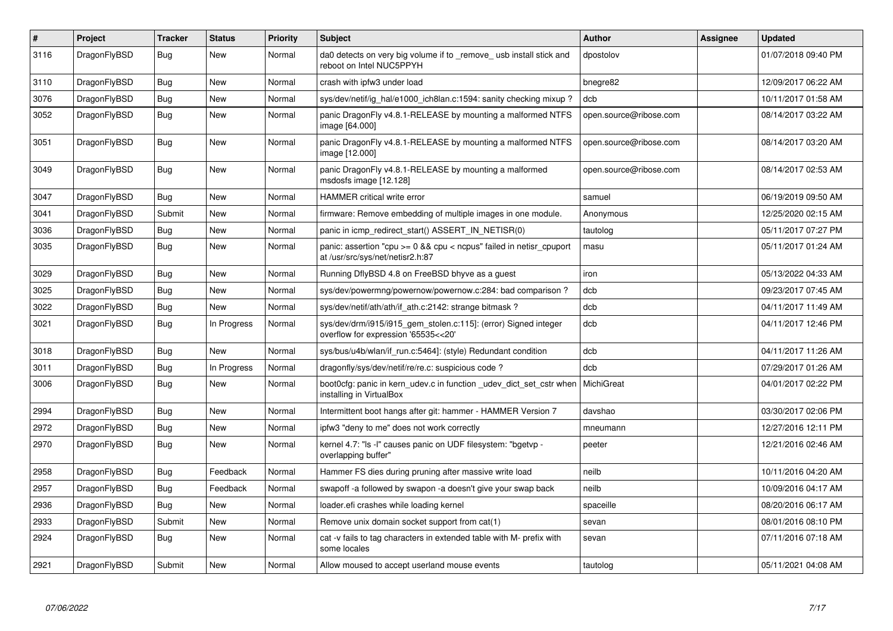| $\pmb{\#}$ | Project      | <b>Tracker</b> | <b>Status</b> | <b>Priority</b> | <b>Subject</b>                                                                                              | <b>Author</b>          | Assignee | Updated             |
|------------|--------------|----------------|---------------|-----------------|-------------------------------------------------------------------------------------------------------------|------------------------|----------|---------------------|
| 3116       | DragonFlyBSD | Bug            | <b>New</b>    | Normal          | da0 detects on very big volume if to remove usb install stick and<br>reboot on Intel NUC5PPYH               | dpostolov              |          | 01/07/2018 09:40 PM |
| 3110       | DragonFlyBSD | Bug            | New           | Normal          | crash with ipfw3 under load                                                                                 | bnegre82               |          | 12/09/2017 06:22 AM |
| 3076       | DragonFlyBSD | Bug            | <b>New</b>    | Normal          | sys/dev/netif/ig hal/e1000 ich8lan.c:1594: sanity checking mixup?                                           | dcb                    |          | 10/11/2017 01:58 AM |
| 3052       | DragonFlyBSD | <b>Bug</b>     | <b>New</b>    | Normal          | panic DragonFly v4.8.1-RELEASE by mounting a malformed NTFS<br>image [64.000]                               | open.source@ribose.com |          | 08/14/2017 03:22 AM |
| 3051       | DragonFlyBSD | Bug            | <b>New</b>    | Normal          | panic DragonFly v4.8.1-RELEASE by mounting a malformed NTFS<br>image [12.000]                               | open.source@ribose.com |          | 08/14/2017 03:20 AM |
| 3049       | DragonFlyBSD | Bug            | <b>New</b>    | Normal          | panic DragonFly v4.8.1-RELEASE by mounting a malformed<br>msdosfs image [12.128]                            | open.source@ribose.com |          | 08/14/2017 02:53 AM |
| 3047       | DragonFlyBSD | Bug            | <b>New</b>    | Normal          | HAMMER critical write error                                                                                 | samuel                 |          | 06/19/2019 09:50 AM |
| 3041       | DragonFlyBSD | Submit         | New           | Normal          | firmware: Remove embedding of multiple images in one module.                                                | Anonymous              |          | 12/25/2020 02:15 AM |
| 3036       | DragonFlyBSD | <b>Bug</b>     | <b>New</b>    | Normal          | panic in icmp_redirect_start() ASSERT_IN_NETISR(0)                                                          | tautolog               |          | 05/11/2017 07:27 PM |
| 3035       | DragonFlyBSD | Bug            | New           | Normal          | panic: assertion "cpu $>= 0$ && cpu $<$ ncpus" failed in netisr cpuport<br>at /usr/src/sys/net/netisr2.h:87 | masu                   |          | 05/11/2017 01:24 AM |
| 3029       | DragonFlyBSD | <b>Bug</b>     | <b>New</b>    | Normal          | Running DflyBSD 4.8 on FreeBSD bhyve as a guest                                                             | iron                   |          | 05/13/2022 04:33 AM |
| 3025       | DragonFlyBSD | <b>Bug</b>     | <b>New</b>    | Normal          | sys/dev/powermng/powernow/powernow.c:284: bad comparison?                                                   | dcb                    |          | 09/23/2017 07:45 AM |
| 3022       | DragonFlyBSD | Bug            | <b>New</b>    | Normal          | sys/dev/netif/ath/ath/if_ath.c:2142: strange bitmask?                                                       | dcb                    |          | 04/11/2017 11:49 AM |
| 3021       | DragonFlyBSD | Bug            | In Progress   | Normal          | sys/dev/drm/i915/i915_gem_stolen.c:115]: (error) Signed integer<br>overflow for expression '65535<<20'      | dcb                    |          | 04/11/2017 12:46 PM |
| 3018       | DragonFlyBSD | <b>Bug</b>     | <b>New</b>    | Normal          | sys/bus/u4b/wlan/if_run.c:5464]: (style) Redundant condition                                                | dcb                    |          | 04/11/2017 11:26 AM |
| 3011       | DragonFlyBSD | Bug            | In Progress   | Normal          | dragonfly/sys/dev/netif/re/re.c: suspicious code?                                                           | dcb                    |          | 07/29/2017 01:26 AM |
| 3006       | DragonFlyBSD | Bug            | <b>New</b>    | Normal          | boot0cfg: panic in kern udev.c in function udev dict set cstr when<br>installing in VirtualBox              | MichiGreat             |          | 04/01/2017 02:22 PM |
| 2994       | DragonFlyBSD | Bug            | <b>New</b>    | Normal          | Intermittent boot hangs after git: hammer - HAMMER Version 7                                                | davshao                |          | 03/30/2017 02:06 PM |
| 2972       | DragonFlyBSD | Bug            | <b>New</b>    | Normal          | ipfw3 "deny to me" does not work correctly                                                                  | mneumann               |          | 12/27/2016 12:11 PM |
| 2970       | DragonFlyBSD | Bug            | <b>New</b>    | Normal          | kernel 4.7: "Is -I" causes panic on UDF filesystem: "bgetvp -<br>overlapping buffer"                        | peeter                 |          | 12/21/2016 02:46 AM |
| 2958       | DragonFlyBSD | <b>Bug</b>     | Feedback      | Normal          | Hammer FS dies during pruning after massive write load                                                      | neilb                  |          | 10/11/2016 04:20 AM |
| 2957       | DragonFlyBSD | Bug            | Feedback      | Normal          | swapoff -a followed by swapon -a doesn't give your swap back                                                | neilb                  |          | 10/09/2016 04:17 AM |
| 2936       | DragonFlyBSD | Bug            | <b>New</b>    | Normal          | loader.efi crashes while loading kernel                                                                     | spaceille              |          | 08/20/2016 06:17 AM |
| 2933       | DragonFlyBSD | Submit         | <b>New</b>    | Normal          | Remove unix domain socket support from cat(1)                                                               | sevan                  |          | 08/01/2016 08:10 PM |
| 2924       | DragonFlyBSD | <b>Bug</b>     | <b>New</b>    | Normal          | cat -v fails to tag characters in extended table with M- prefix with<br>some locales                        | sevan                  |          | 07/11/2016 07:18 AM |
| 2921       | DragonFlyBSD | Submit         | <b>New</b>    | Normal          | Allow moused to accept userland mouse events                                                                | tautolog               |          | 05/11/2021 04:08 AM |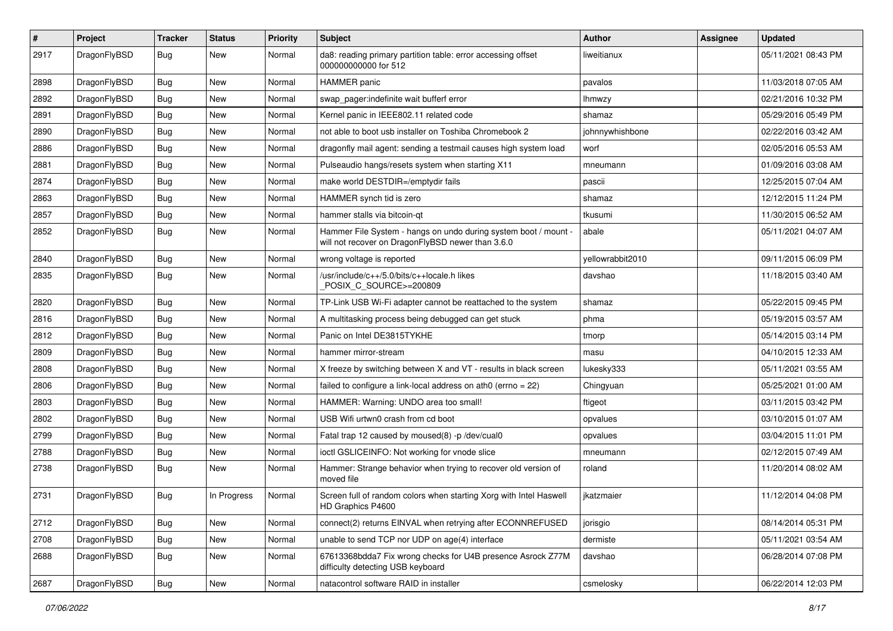| #    | Project      | <b>Tracker</b> | <b>Status</b> | <b>Priority</b> | Subject                                                                                                              | <b>Author</b>    | <b>Assignee</b> | <b>Updated</b>      |
|------|--------------|----------------|---------------|-----------------|----------------------------------------------------------------------------------------------------------------------|------------------|-----------------|---------------------|
| 2917 | DragonFlyBSD | Bug            | New           | Normal          | da8: reading primary partition table: error accessing offset<br>000000000000 for 512                                 | liweitianux      |                 | 05/11/2021 08:43 PM |
| 2898 | DragonFlyBSD | Bug            | <b>New</b>    | Normal          | HAMMER panic                                                                                                         | pavalos          |                 | 11/03/2018 07:05 AM |
| 2892 | DragonFlyBSD | Bug            | New           | Normal          | swap pager:indefinite wait bufferf error                                                                             | lhmwzy           |                 | 02/21/2016 10:32 PM |
| 2891 | DragonFlyBSD | Bug            | New           | Normal          | Kernel panic in IEEE802.11 related code                                                                              | shamaz           |                 | 05/29/2016 05:49 PM |
| 2890 | DragonFlyBSD | Bug            | New           | Normal          | not able to boot usb installer on Toshiba Chromebook 2                                                               | johnnywhishbone  |                 | 02/22/2016 03:42 AM |
| 2886 | DragonFlyBSD | Bug            | <b>New</b>    | Normal          | dragonfly mail agent: sending a testmail causes high system load                                                     | worf             |                 | 02/05/2016 05:53 AM |
| 2881 | DragonFlyBSD | Bug            | New           | Normal          | Pulseaudio hangs/resets system when starting X11                                                                     | mneumann         |                 | 01/09/2016 03:08 AM |
| 2874 | DragonFlyBSD | Bug            | New           | Normal          | make world DESTDIR=/emptydir fails                                                                                   | pascii           |                 | 12/25/2015 07:04 AM |
| 2863 | DragonFlyBSD | Bug            | <b>New</b>    | Normal          | HAMMER synch tid is zero                                                                                             | shamaz           |                 | 12/12/2015 11:24 PM |
| 2857 | DragonFlyBSD | Bug            | New           | Normal          | hammer stalls via bitcoin-qt                                                                                         | tkusumi          |                 | 11/30/2015 06:52 AM |
| 2852 | DragonFlyBSD | Bug            | <b>New</b>    | Normal          | Hammer File System - hangs on undo during system boot / mount -<br>will not recover on DragonFlyBSD newer than 3.6.0 | abale            |                 | 05/11/2021 04:07 AM |
| 2840 | DragonFlyBSD | Bug            | <b>New</b>    | Normal          | wrong voltage is reported                                                                                            | yellowrabbit2010 |                 | 09/11/2015 06:09 PM |
| 2835 | DragonFlyBSD | Bug            | New           | Normal          | /usr/include/c++/5.0/bits/c++locale.h likes<br>POSIX_C_SOURCE>=200809                                                | davshao          |                 | 11/18/2015 03:40 AM |
| 2820 | DragonFlyBSD | Bug            | <b>New</b>    | Normal          | TP-Link USB Wi-Fi adapter cannot be reattached to the system                                                         | shamaz           |                 | 05/22/2015 09:45 PM |
| 2816 | DragonFlyBSD | Bug            | <b>New</b>    | Normal          | A multitasking process being debugged can get stuck                                                                  | phma             |                 | 05/19/2015 03:57 AM |
| 2812 | DragonFlyBSD | Bug            | New           | Normal          | Panic on Intel DE3815TYKHE                                                                                           | tmorp            |                 | 05/14/2015 03:14 PM |
| 2809 | DragonFlyBSD | Bug            | <b>New</b>    | Normal          | hammer mirror-stream                                                                                                 | masu             |                 | 04/10/2015 12:33 AM |
| 2808 | DragonFlyBSD | Bug            | New           | Normal          | X freeze by switching between X and VT - results in black screen                                                     | lukesky333       |                 | 05/11/2021 03:55 AM |
| 2806 | DragonFlyBSD | <b>Bug</b>     | New           | Normal          | failed to configure a link-local address on ath0 (errno = 22)                                                        | Chingyuan        |                 | 05/25/2021 01:00 AM |
| 2803 | DragonFlyBSD | <b>Bug</b>     | New           | Normal          | HAMMER: Warning: UNDO area too small!                                                                                | ftigeot          |                 | 03/11/2015 03:42 PM |
| 2802 | DragonFlyBSD | <b>Bug</b>     | New           | Normal          | USB Wifi urtwn0 crash from cd boot                                                                                   | opvalues         |                 | 03/10/2015 01:07 AM |
| 2799 | DragonFlyBSD | <b>Bug</b>     | New           | Normal          | Fatal trap 12 caused by moused(8) -p /dev/cual0                                                                      | opvalues         |                 | 03/04/2015 11:01 PM |
| 2788 | DragonFlyBSD | <b>Bug</b>     | <b>New</b>    | Normal          | ioctl GSLICEINFO: Not working for vnode slice                                                                        | mneumann         |                 | 02/12/2015 07:49 AM |
| 2738 | DragonFlyBSD | <b>Bug</b>     | New           | Normal          | Hammer: Strange behavior when trying to recover old version of<br>moved file                                         | roland           |                 | 11/20/2014 08:02 AM |
| 2731 | DragonFlyBSD | Bug            | In Progress   | Normal          | Screen full of random colors when starting Xorg with Intel Haswell<br>HD Graphics P4600                              | jkatzmaier       |                 | 11/12/2014 04:08 PM |
| 2712 | DragonFlyBSD | <b>Bug</b>     | <b>New</b>    | Normal          | connect(2) returns EINVAL when retrying after ECONNREFUSED                                                           | jorisgio         |                 | 08/14/2014 05:31 PM |
| 2708 | DragonFlyBSD | <b>Bug</b>     | <b>New</b>    | Normal          | unable to send TCP nor UDP on age(4) interface                                                                       | dermiste         |                 | 05/11/2021 03:54 AM |
| 2688 | DragonFlyBSD | Bug            | New           | Normal          | 67613368bdda7 Fix wrong checks for U4B presence Asrock Z77M<br>difficulty detecting USB keyboard                     | davshao          |                 | 06/28/2014 07:08 PM |
| 2687 | DragonFlyBSD | Bug            | New           | Normal          | natacontrol software RAID in installer                                                                               | csmelosky        |                 | 06/22/2014 12:03 PM |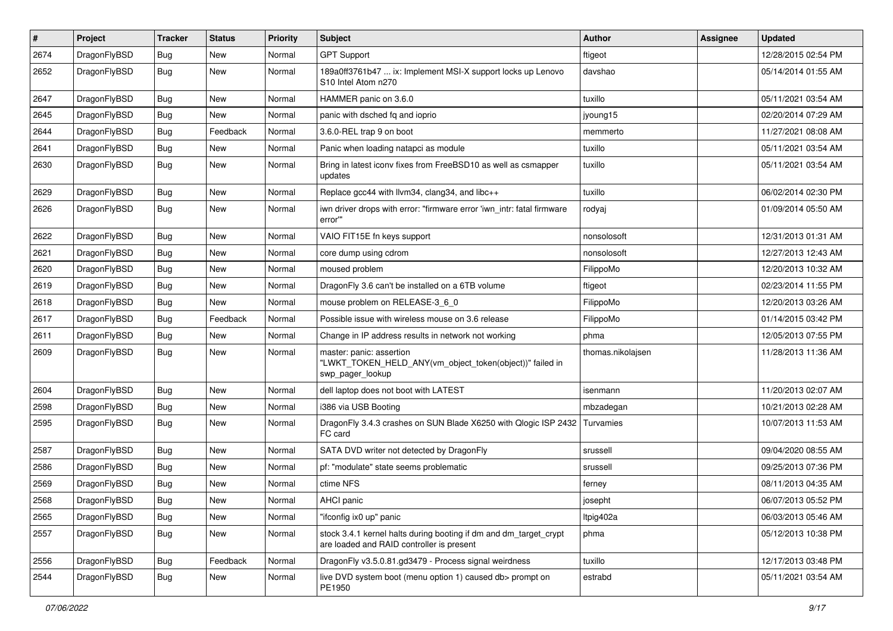| $\sharp$ | Project      | <b>Tracker</b> | <b>Status</b> | <b>Priority</b> | Subject                                                                                                        | <b>Author</b>     | Assignee | <b>Updated</b>      |
|----------|--------------|----------------|---------------|-----------------|----------------------------------------------------------------------------------------------------------------|-------------------|----------|---------------------|
| 2674     | DragonFlyBSD | <b>Bug</b>     | <b>New</b>    | Normal          | <b>GPT Support</b>                                                                                             | ftigeot           |          | 12/28/2015 02:54 PM |
| 2652     | DragonFlyBSD | <b>Bug</b>     | New           | Normal          | 189a0ff3761b47  ix: Implement MSI-X support locks up Lenovo<br>S10 Intel Atom n270                             | davshao           |          | 05/14/2014 01:55 AM |
| 2647     | DragonFlyBSD | <b>Bug</b>     | <b>New</b>    | Normal          | HAMMER panic on 3.6.0                                                                                          | tuxillo           |          | 05/11/2021 03:54 AM |
| 2645     | DragonFlyBSD | <b>Bug</b>     | <b>New</b>    | Normal          | panic with dsched fq and ioprio                                                                                | jyoung15          |          | 02/20/2014 07:29 AM |
| 2644     | DragonFlyBSD | <b>Bug</b>     | Feedback      | Normal          | 3.6.0-REL trap 9 on boot                                                                                       | memmerto          |          | 11/27/2021 08:08 AM |
| 2641     | DragonFlyBSD | <b>Bug</b>     | <b>New</b>    | Normal          | Panic when loading natapci as module                                                                           | tuxillo           |          | 05/11/2021 03:54 AM |
| 2630     | DragonFlyBSD | Bug            | New           | Normal          | Bring in latest iconv fixes from FreeBSD10 as well as csmapper<br>updates                                      | tuxillo           |          | 05/11/2021 03:54 AM |
| 2629     | DragonFlyBSD | <b>Bug</b>     | <b>New</b>    | Normal          | Replace gcc44 with llvm34, clang34, and libc++                                                                 | tuxillo           |          | 06/02/2014 02:30 PM |
| 2626     | DragonFlyBSD | Bug            | New           | Normal          | iwn driver drops with error: "firmware error 'iwn_intr: fatal firmware<br>error""                              | rodyaj            |          | 01/09/2014 05:50 AM |
| 2622     | DragonFlyBSD | <b>Bug</b>     | New           | Normal          | VAIO FIT15E fn keys support                                                                                    | nonsolosoft       |          | 12/31/2013 01:31 AM |
| 2621     | DragonFlyBSD | <b>Bug</b>     | <b>New</b>    | Normal          | core dump using cdrom                                                                                          | nonsolosoft       |          | 12/27/2013 12:43 AM |
| 2620     | DragonFlyBSD | <b>Bug</b>     | <b>New</b>    | Normal          | moused problem                                                                                                 | FilippoMo         |          | 12/20/2013 10:32 AM |
| 2619     | DragonFlyBSD | <b>Bug</b>     | New           | Normal          | DragonFly 3.6 can't be installed on a 6TB volume                                                               | ftigeot           |          | 02/23/2014 11:55 PM |
| 2618     | DragonFlyBSD | <b>Bug</b>     | <b>New</b>    | Normal          | mouse problem on RELEASE-3_6_0                                                                                 | FilippoMo         |          | 12/20/2013 03:26 AM |
| 2617     | DragonFlyBSD | <b>Bug</b>     | Feedback      | Normal          | Possible issue with wireless mouse on 3.6 release                                                              | FilippoMo         |          | 01/14/2015 03:42 PM |
| 2611     | DragonFlyBSD | <b>Bug</b>     | <b>New</b>    | Normal          | Change in IP address results in network not working                                                            | phma              |          | 12/05/2013 07:55 PM |
| 2609     | DragonFlyBSD | Bug            | New           | Normal          | master: panic: assertion<br>"LWKT_TOKEN_HELD_ANY(vm_object_token(object))" failed in<br>swp pager lookup       | thomas.nikolajsen |          | 11/28/2013 11:36 AM |
| 2604     | DragonFlyBSD | Bug            | <b>New</b>    | Normal          | dell laptop does not boot with LATEST                                                                          | isenmann          |          | 11/20/2013 02:07 AM |
| 2598     | DragonFlyBSD | <b>Bug</b>     | <b>New</b>    | Normal          | i386 via USB Booting                                                                                           | mbzadegan         |          | 10/21/2013 02:28 AM |
| 2595     | DragonFlyBSD | <b>Bug</b>     | New           | Normal          | DragonFly 3.4.3 crashes on SUN Blade X6250 with Qlogic ISP 2432<br>FC card                                     | Turvamies         |          | 10/07/2013 11:53 AM |
| 2587     | DragonFlyBSD | Bug            | <b>New</b>    | Normal          | SATA DVD writer not detected by DragonFly                                                                      | srussell          |          | 09/04/2020 08:55 AM |
| 2586     | DragonFlyBSD | <b>Bug</b>     | New           | Normal          | pf: "modulate" state seems problematic                                                                         | srussell          |          | 09/25/2013 07:36 PM |
| 2569     | DragonFlyBSD | <b>Bug</b>     | <b>New</b>    | Normal          | ctime NFS                                                                                                      | ferney            |          | 08/11/2013 04:35 AM |
| 2568     | DragonFlyBSD | <b>Bug</b>     | <b>New</b>    | Normal          | AHCI panic                                                                                                     | josepht           |          | 06/07/2013 05:52 PM |
| 2565     | DragonFlyBSD | Bug            | New           | Normal          | "ifconfig ix0 up" panic                                                                                        | Itpig402a         |          | 06/03/2013 05:46 AM |
| 2557     | DragonFlyBSD | <b>Bug</b>     | New           | Normal          | stock 3.4.1 kernel halts during booting if dm and dm_target_crypt<br>are loaded and RAID controller is present | phma              |          | 05/12/2013 10:38 PM |
| 2556     | DragonFlyBSD | <b>Bug</b>     | Feedback      | Normal          | DragonFly v3.5.0.81.gd3479 - Process signal weirdness                                                          | tuxillo           |          | 12/17/2013 03:48 PM |
| 2544     | DragonFlyBSD | <b>Bug</b>     | New           | Normal          | live DVD system boot (menu option 1) caused db> prompt on<br>PE1950                                            | estrabd           |          | 05/11/2021 03:54 AM |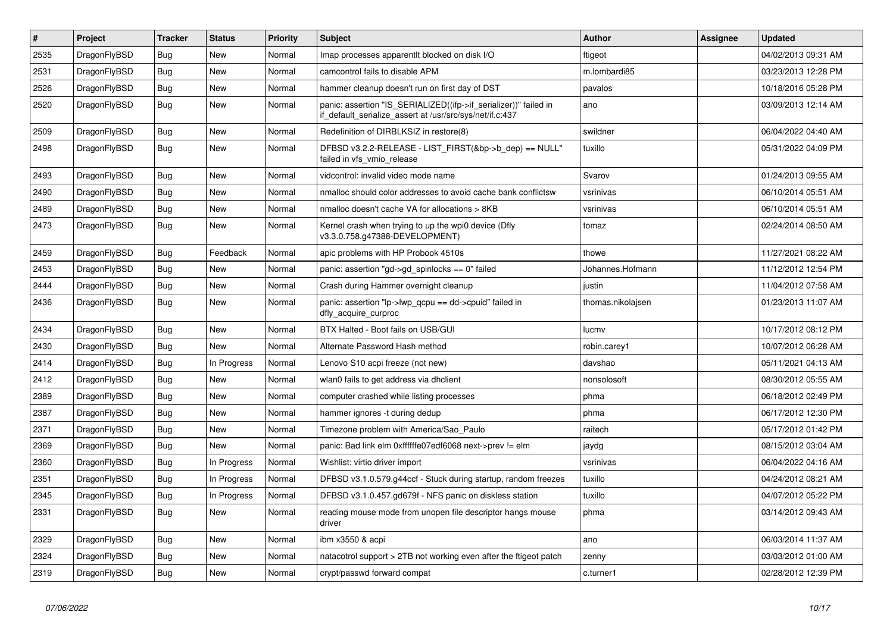| $\pmb{\#}$ | Project      | <b>Tracker</b> | <b>Status</b> | <b>Priority</b> | <b>Subject</b>                                                                                                               | <b>Author</b>     | Assignee | <b>Updated</b>      |
|------------|--------------|----------------|---------------|-----------------|------------------------------------------------------------------------------------------------------------------------------|-------------------|----------|---------------------|
| 2535       | DragonFlyBSD | <b>Bug</b>     | <b>New</b>    | Normal          | Imap processes apparentlt blocked on disk I/O                                                                                | ftigeot           |          | 04/02/2013 09:31 AM |
| 2531       | DragonFlyBSD | <b>Bug</b>     | <b>New</b>    | Normal          | camcontrol fails to disable APM                                                                                              | m.lombardi85      |          | 03/23/2013 12:28 PM |
| 2526       | DragonFlyBSD | <b>Bug</b>     | New           | Normal          | hammer cleanup doesn't run on first day of DST                                                                               | pavalos           |          | 10/18/2016 05:28 PM |
| 2520       | DragonFlyBSD | Bug            | New           | Normal          | panic: assertion "IS SERIALIZED((ifp->if serializer))" failed in<br>if_default_serialize_assert at /usr/src/sys/net/if.c:437 | ano               |          | 03/09/2013 12:14 AM |
| 2509       | DragonFlyBSD | <b>Bug</b>     | <b>New</b>    | Normal          | Redefinition of DIRBLKSIZ in restore(8)                                                                                      | swildner          |          | 06/04/2022 04:40 AM |
| 2498       | DragonFlyBSD | Bug            | <b>New</b>    | Normal          | DFBSD v3.2.2-RELEASE - LIST_FIRST(&bp->b_dep) == NULL"<br>failed in vfs_vmio_release                                         | tuxillo           |          | 05/31/2022 04:09 PM |
| 2493       | DragonFlyBSD | <b>Bug</b>     | <b>New</b>    | Normal          | vidcontrol: invalid video mode name                                                                                          | Svarov            |          | 01/24/2013 09:55 AM |
| 2490       | DragonFlyBSD | <b>Bug</b>     | <b>New</b>    | Normal          | nmalloc should color addresses to avoid cache bank conflictsw                                                                | vsrinivas         |          | 06/10/2014 05:51 AM |
| 2489       | DragonFlyBSD | Bug            | <b>New</b>    | Normal          | nmalloc doesn't cache VA for allocations > 8KB                                                                               | vsrinivas         |          | 06/10/2014 05:51 AM |
| 2473       | DragonFlyBSD | Bug            | <b>New</b>    | Normal          | Kernel crash when trying to up the wpi0 device (Dfly<br>v3.3.0.758.g47388-DEVELOPMENT)                                       | tomaz             |          | 02/24/2014 08:50 AM |
| 2459       | DragonFlyBSD | <b>Bug</b>     | Feedback      | Normal          | apic problems with HP Probook 4510s                                                                                          | thowe             |          | 11/27/2021 08:22 AM |
| 2453       | DragonFlyBSD | <b>Bug</b>     | <b>New</b>    | Normal          | panic: assertion "gd->gd_spinlocks == 0" failed                                                                              | Johannes.Hofmann  |          | 11/12/2012 12:54 PM |
| 2444       | DragonFlyBSD | Bug            | <b>New</b>    | Normal          | Crash during Hammer overnight cleanup                                                                                        | justin            |          | 11/04/2012 07:58 AM |
| 2436       | DragonFlyBSD | Bug            | <b>New</b>    | Normal          | panic: assertion "lp->lwp_qcpu == dd->cpuid" failed in<br>dfly_acquire_curproc                                               | thomas.nikolajsen |          | 01/23/2013 11:07 AM |
| 2434       | DragonFlyBSD | <b>Bug</b>     | <b>New</b>    | Normal          | BTX Halted - Boot fails on USB/GUI                                                                                           | lucmv             |          | 10/17/2012 08:12 PM |
| 2430       | DragonFlyBSD | Bug            | New           | Normal          | Alternate Password Hash method                                                                                               | robin.carey1      |          | 10/07/2012 06:28 AM |
| 2414       | DragonFlyBSD | Bug            | In Progress   | Normal          | Lenovo S10 acpi freeze (not new)                                                                                             | davshao           |          | 05/11/2021 04:13 AM |
| 2412       | DragonFlyBSD | <b>Bug</b>     | New           | Normal          | wlan0 fails to get address via dhclient                                                                                      | nonsolosoft       |          | 08/30/2012 05:55 AM |
| 2389       | DragonFlyBSD | Bug            | <b>New</b>    | Normal          | computer crashed while listing processes                                                                                     | phma              |          | 06/18/2012 02:49 PM |
| 2387       | DragonFlyBSD | Bug            | New           | Normal          | hammer ignores -t during dedup                                                                                               | phma              |          | 06/17/2012 12:30 PM |
| 2371       | DragonFlyBSD | Bug            | <b>New</b>    | Normal          | Timezone problem with America/Sao Paulo                                                                                      | raitech           |          | 05/17/2012 01:42 PM |
| 2369       | DragonFlyBSD | <b>Bug</b>     | <b>New</b>    | Normal          | panic: Bad link elm 0xffffffe07edf6068 next->prev != elm                                                                     | jaydg             |          | 08/15/2012 03:04 AM |
| 2360       | DragonFlyBSD | Bug            | In Progress   | Normal          | Wishlist: virtio driver import                                                                                               | vsrinivas         |          | 06/04/2022 04:16 AM |
| 2351       | DragonFlyBSD | Bug            | In Progress   | Normal          | DFBSD v3.1.0.579.g44ccf - Stuck during startup, random freezes                                                               | tuxillo           |          | 04/24/2012 08:21 AM |
| 2345       | DragonFlyBSD | Bug            | In Progress   | Normal          | DFBSD v3.1.0.457.gd679f - NFS panic on diskless station                                                                      | tuxillo           |          | 04/07/2012 05:22 PM |
| 2331       | DragonFlyBSD | <b>Bug</b>     | New           | Normal          | reading mouse mode from unopen file descriptor hangs mouse<br>driver                                                         | phma              |          | 03/14/2012 09:43 AM |
| 2329       | DragonFlyBSD | Bug            | <b>New</b>    | Normal          | ibm x3550 & acpi                                                                                                             | ano               |          | 06/03/2014 11:37 AM |
| 2324       | DragonFlyBSD | Bug            | New           | Normal          | natacotrol support > 2TB not working even after the ftigeot patch                                                            | zenny             |          | 03/03/2012 01:00 AM |
| 2319       | DragonFlyBSD | Bug            | <b>New</b>    | Normal          | crypt/passwd forward compat                                                                                                  | c.turner1         |          | 02/28/2012 12:39 PM |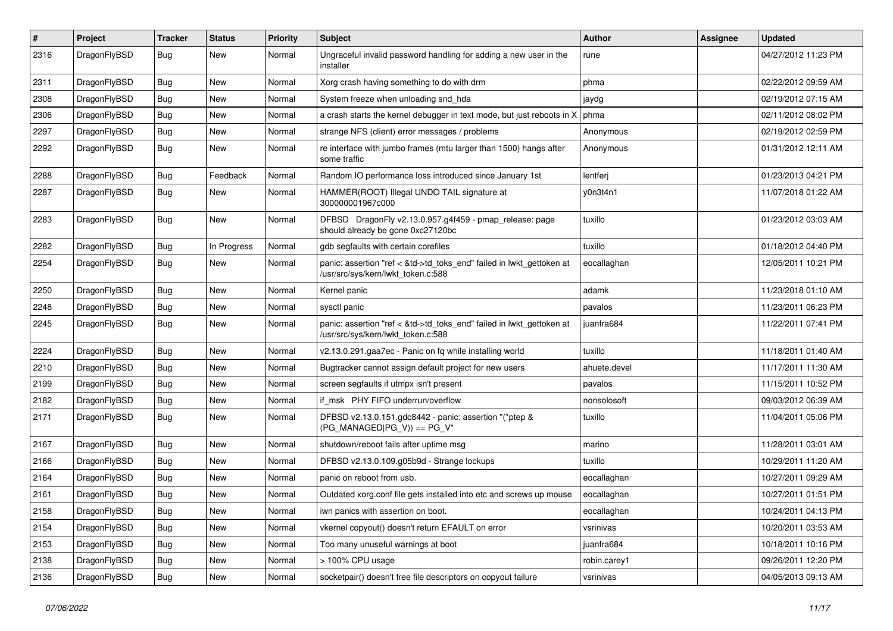| $\vert$ # | Project      | <b>Tracker</b> | <b>Status</b> | <b>Priority</b> | <b>Subject</b>                                                                                             | Author       | <b>Assignee</b> | <b>Updated</b>      |
|-----------|--------------|----------------|---------------|-----------------|------------------------------------------------------------------------------------------------------------|--------------|-----------------|---------------------|
| 2316      | DragonFlyBSD | Bug            | New           | Normal          | Ungraceful invalid password handling for adding a new user in the<br>installer                             | rune         |                 | 04/27/2012 11:23 PM |
| 2311      | DragonFlyBSD | Bug            | <b>New</b>    | Normal          | Xorg crash having something to do with drm                                                                 | phma         |                 | 02/22/2012 09:59 AM |
| 2308      | DragonFlyBSD | Bug            | New           | Normal          | System freeze when unloading snd hda                                                                       | jaydg        |                 | 02/19/2012 07:15 AM |
| 2306      | DragonFlyBSD | <b>Bug</b>     | <b>New</b>    | Normal          | a crash starts the kernel debugger in text mode, but just reboots in X                                     | phma         |                 | 02/11/2012 08:02 PM |
| 2297      | DragonFlyBSD | <b>Bug</b>     | New           | Normal          | strange NFS (client) error messages / problems                                                             | Anonymous    |                 | 02/19/2012 02:59 PM |
| 2292      | DragonFlyBSD | Bug            | New           | Normal          | re interface with jumbo frames (mtu larger than 1500) hangs after<br>some traffic                          | Anonymous    |                 | 01/31/2012 12:11 AM |
| 2288      | DragonFlyBSD | Bug            | Feedback      | Normal          | Random IO performance loss introduced since January 1st                                                    | lentferj     |                 | 01/23/2013 04:21 PM |
| 2287      | DragonFlyBSD | Bug            | New           | Normal          | HAMMER(ROOT) Illegal UNDO TAIL signature at<br>300000001967c000                                            | y0n3t4n1     |                 | 11/07/2018 01:22 AM |
| 2283      | DragonFlyBSD | <b>Bug</b>     | New           | Normal          | DFBSD DragonFly v2.13.0.957.g4f459 - pmap_release: page<br>should already be gone 0xc27120bc               | tuxillo      |                 | 01/23/2012 03:03 AM |
| 2282      | DragonFlyBSD | Bug            | In Progress   | Normal          | gdb segfaults with certain corefiles                                                                       | tuxillo      |                 | 01/18/2012 04:40 PM |
| 2254      | DragonFlyBSD | Bug            | New           | Normal          | panic: assertion "ref < &td->td_toks_end" failed in lwkt_gettoken at<br>/usr/src/sys/kern/lwkt_token.c:588 | eocallaghan  |                 | 12/05/2011 10:21 PM |
| 2250      | DragonFlyBSD | <b>Bug</b>     | New           | Normal          | Kernel panic                                                                                               | adamk        |                 | 11/23/2018 01:10 AM |
| 2248      | DragonFlyBSD | Bug            | <b>New</b>    | Normal          | sysctl panic                                                                                               | pavalos      |                 | 11/23/2011 06:23 PM |
| 2245      | DragonFlyBSD | Bug            | New           | Normal          | panic: assertion "ref < &td->td_toks_end" failed in lwkt_gettoken at<br>/usr/src/sys/kern/lwkt_token.c:588 | juanfra684   |                 | 11/22/2011 07:41 PM |
| 2224      | DragonFlyBSD | Bug            | <b>New</b>    | Normal          | v2.13.0.291.gaa7ec - Panic on fq while installing world                                                    | tuxillo      |                 | 11/18/2011 01:40 AM |
| 2210      | DragonFlyBSD | <b>Bug</b>     | New           | Normal          | Bugtracker cannot assign default project for new users                                                     | ahuete.devel |                 | 11/17/2011 11:30 AM |
| 2199      | DragonFlyBSD | Bug            | New           | Normal          | screen segfaults if utmpx isn't present                                                                    | pavalos      |                 | 11/15/2011 10:52 PM |
| 2182      | DragonFlyBSD | Bug            | New           | Normal          | if msk PHY FIFO underrun/overflow                                                                          | nonsolosoft  |                 | 09/03/2012 06:39 AM |
| 2171      | DragonFlyBSD | Bug            | New           | Normal          | DFBSD v2.13.0.151.gdc8442 - panic: assertion "(*ptep &<br>$(PG_MANAGED PG_V)) == PG_V"$                    | tuxillo      |                 | 11/04/2011 05:06 PM |
| 2167      | DragonFlyBSD | <b>Bug</b>     | New           | Normal          | shutdown/reboot fails after uptime msg                                                                     | marino       |                 | 11/28/2011 03:01 AM |
| 2166      | DragonFlyBSD | Bug            | <b>New</b>    | Normal          | DFBSD v2.13.0.109.g05b9d - Strange lockups                                                                 | tuxillo      |                 | 10/29/2011 11:20 AM |
| 2164      | DragonFlyBSD | Bug            | <b>New</b>    | Normal          | panic on reboot from usb.                                                                                  | eocallaghan  |                 | 10/27/2011 09:29 AM |
| 2161      | DragonFlyBSD | <b>Bug</b>     | New           | Normal          | Outdated xorg.conf file gets installed into etc and screws up mouse                                        | eocallaghan  |                 | 10/27/2011 01:51 PM |
| 2158      | DragonFlyBSD | Bug            | New           | Normal          | iwn panics with assertion on boot.                                                                         | eocallaghan  |                 | 10/24/2011 04:13 PM |
| 2154      | DragonFlyBSD | <b>Bug</b>     | New           | Normal          | vkernel copyout() doesn't return EFAULT on error                                                           | vsrinivas    |                 | 10/20/2011 03:53 AM |
| 2153      | DragonFlyBSD | <b>Bug</b>     | New           | Normal          | Too many unuseful warnings at boot                                                                         | juanfra684   |                 | 10/18/2011 10:16 PM |
| 2138      | DragonFlyBSD | <b>Bug</b>     | New           | Normal          | > 100% CPU usage                                                                                           | robin.carey1 |                 | 09/26/2011 12:20 PM |
| 2136      | DragonFlyBSD | Bug            | New           | Normal          | socketpair() doesn't free file descriptors on copyout failure                                              | vsrinivas    |                 | 04/05/2013 09:13 AM |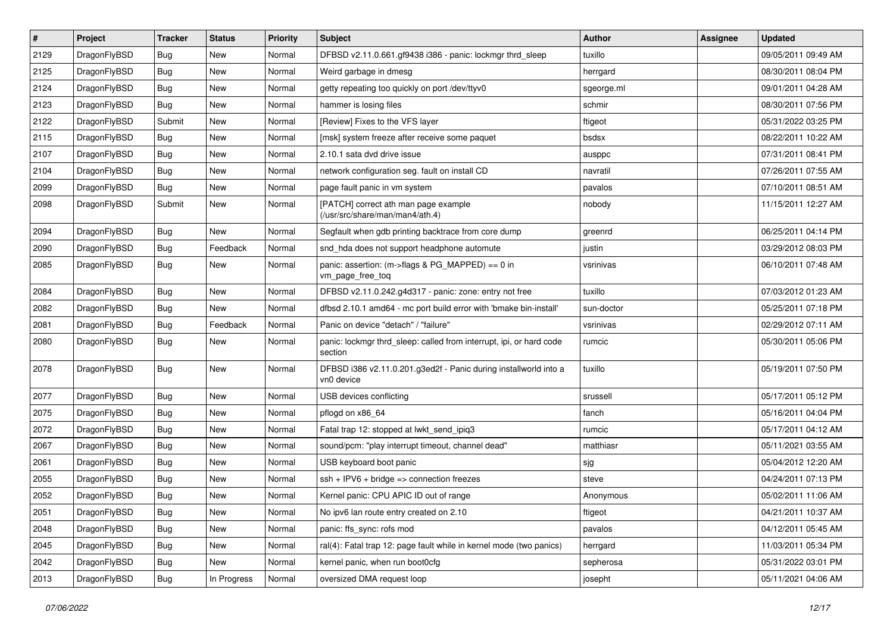| $\pmb{\#}$ | Project      | <b>Tracker</b> | <b>Status</b> | <b>Priority</b> | <b>Subject</b>                                                                 | <b>Author</b> | <b>Assignee</b> | <b>Updated</b>      |
|------------|--------------|----------------|---------------|-----------------|--------------------------------------------------------------------------------|---------------|-----------------|---------------------|
| 2129       | DragonFlyBSD | <b>Bug</b>     | New           | Normal          | DFBSD v2.11.0.661.gf9438 i386 - panic: lockmgr thrd_sleep                      | tuxillo       |                 | 09/05/2011 09:49 AM |
| 2125       | DragonFlyBSD | Bug            | <b>New</b>    | Normal          | Weird garbage in dmesg                                                         | herrgard      |                 | 08/30/2011 08:04 PM |
| 2124       | DragonFlyBSD | Bug            | <b>New</b>    | Normal          | getty repeating too quickly on port /dev/ttyv0                                 | sgeorge.ml    |                 | 09/01/2011 04:28 AM |
| 2123       | DragonFlyBSD | Bug            | New           | Normal          | hammer is losing files                                                         | schmir        |                 | 08/30/2011 07:56 PM |
| 2122       | DragonFlyBSD | Submit         | <b>New</b>    | Normal          | [Review] Fixes to the VFS layer                                                | ftigeot       |                 | 05/31/2022 03:25 PM |
| 2115       | DragonFlyBSD | Bug            | New           | Normal          | [msk] system freeze after receive some paquet                                  | bsdsx         |                 | 08/22/2011 10:22 AM |
| 2107       | DragonFlyBSD | Bug            | <b>New</b>    | Normal          | 2.10.1 sata dvd drive issue                                                    | ausppc        |                 | 07/31/2011 08:41 PM |
| 2104       | DragonFlyBSD | Bug            | <b>New</b>    | Normal          | network configuration seg. fault on install CD                                 | navratil      |                 | 07/26/2011 07:55 AM |
| 2099       | DragonFlyBSD | Bug            | <b>New</b>    | Normal          | page fault panic in vm system                                                  | pavalos       |                 | 07/10/2011 08:51 AM |
| 2098       | DragonFlyBSD | Submit         | New           | Normal          | [PATCH] correct ath man page example<br>(/usr/src/share/man/man4/ath.4)        | nobody        |                 | 11/15/2011 12:27 AM |
| 2094       | DragonFlyBSD | Bug            | New           | Normal          | Segfault when gdb printing backtrace from core dump                            | greenrd       |                 | 06/25/2011 04:14 PM |
| 2090       | DragonFlyBSD | Bug            | Feedback      | Normal          | snd_hda does not support headphone automute                                    | justin        |                 | 03/29/2012 08:03 PM |
| 2085       | DragonFlyBSD | Bug            | New           | Normal          | panic: assertion: (m->flags & PG_MAPPED) == 0 in<br>vm_page_free_toq           | vsrinivas     |                 | 06/10/2011 07:48 AM |
| 2084       | DragonFlyBSD | <b>Bug</b>     | <b>New</b>    | Normal          | DFBSD v2.11.0.242.g4d317 - panic: zone: entry not free                         | tuxillo       |                 | 07/03/2012 01:23 AM |
| 2082       | DragonFlyBSD | Bug            | New           | Normal          | dfbsd 2.10.1 amd64 - mc port build error with 'bmake bin-install'              | sun-doctor    |                 | 05/25/2011 07:18 PM |
| 2081       | DragonFlyBSD | Bug            | Feedback      | Normal          | Panic on device "detach" / "failure"                                           | vsrinivas     |                 | 02/29/2012 07:11 AM |
| 2080       | DragonFlyBSD | Bug            | New           | Normal          | panic: lockmgr thrd_sleep: called from interrupt, ipi, or hard code<br>section | rumcic        |                 | 05/30/2011 05:06 PM |
| 2078       | DragonFlyBSD | Bug            | <b>New</b>    | Normal          | DFBSD i386 v2.11.0.201.g3ed2f - Panic during installworld into a<br>vn0 device | tuxillo       |                 | 05/19/2011 07:50 PM |
| 2077       | DragonFlyBSD | Bug            | <b>New</b>    | Normal          | USB devices conflicting                                                        | srussell      |                 | 05/17/2011 05:12 PM |
| 2075       | DragonFlyBSD | Bug            | New           | Normal          | pflogd on x86 64                                                               | fanch         |                 | 05/16/2011 04:04 PM |
| 2072       | DragonFlyBSD | <b>Bug</b>     | New           | Normal          | Fatal trap 12: stopped at lwkt_send_ipiq3                                      | rumcic        |                 | 05/17/2011 04:12 AM |
| 2067       | DragonFlyBSD | Bug            | New           | Normal          | sound/pcm: "play interrupt timeout, channel dead"                              | matthiasr     |                 | 05/11/2021 03:55 AM |
| 2061       | DragonFlyBSD | Bug            | New           | Normal          | USB keyboard boot panic                                                        | sjg           |                 | 05/04/2012 12:20 AM |
| 2055       | DragonFlyBSD | Bug            | <b>New</b>    | Normal          | $ssh + IPV6 + bridge \Rightarrow connection freezes$                           | steve         |                 | 04/24/2011 07:13 PM |
| 2052       | DragonFlyBSD | <b>Bug</b>     | New           | Normal          | Kernel panic: CPU APIC ID out of range                                         | Anonymous     |                 | 05/02/2011 11:06 AM |
| 2051       | DragonFlyBSD | <b>Bug</b>     | New           | Normal          | No ipv6 lan route entry created on 2.10                                        | ftigeot       |                 | 04/21/2011 10:37 AM |
| 2048       | DragonFlyBSD | Bug            | New           | Normal          | panic: ffs_sync: rofs mod                                                      | pavalos       |                 | 04/12/2011 05:45 AM |
| 2045       | DragonFlyBSD | <b>Bug</b>     | New           | Normal          | ral(4): Fatal trap 12: page fault while in kernel mode (two panics)            | herrgard      |                 | 11/03/2011 05:34 PM |
| 2042       | DragonFlyBSD | Bug            | New           | Normal          | kernel panic, when run boot0cfg                                                | sepherosa     |                 | 05/31/2022 03:01 PM |
| 2013       | DragonFlyBSD | <b>Bug</b>     | In Progress   | Normal          | oversized DMA request loop                                                     | josepht       |                 | 05/11/2021 04:06 AM |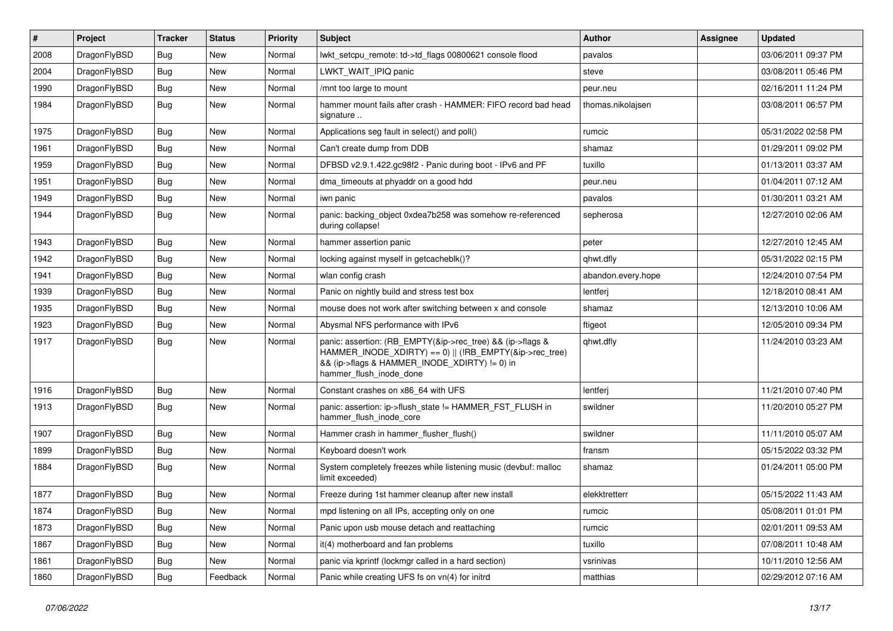| $\vert$ # | Project      | <b>Tracker</b> | <b>Status</b> | <b>Priority</b> | <b>Subject</b>                                                                                                                                                                                    | Author             | Assignee | <b>Updated</b>      |
|-----------|--------------|----------------|---------------|-----------------|---------------------------------------------------------------------------------------------------------------------------------------------------------------------------------------------------|--------------------|----------|---------------------|
| 2008      | DragonFlyBSD | <b>Bug</b>     | <b>New</b>    | Normal          | lwkt setcpu remote: td->td flags 00800621 console flood                                                                                                                                           | pavalos            |          | 03/06/2011 09:37 PM |
| 2004      | DragonFlyBSD | Bug            | New           | Normal          | LWKT_WAIT_IPIQ panic                                                                                                                                                                              | steve              |          | 03/08/2011 05:46 PM |
| 1990      | DragonFlyBSD | <b>Bug</b>     | New           | Normal          | /mnt too large to mount                                                                                                                                                                           | peur.neu           |          | 02/16/2011 11:24 PM |
| 1984      | DragonFlyBSD | Bug            | New           | Normal          | hammer mount fails after crash - HAMMER: FIFO record bad head<br>signature                                                                                                                        | thomas.nikolajsen  |          | 03/08/2011 06:57 PM |
| 1975      | DragonFlyBSD | <b>Bug</b>     | <b>New</b>    | Normal          | Applications seg fault in select() and poll()                                                                                                                                                     | rumcic             |          | 05/31/2022 02:58 PM |
| 1961      | DragonFlyBSD | Bug            | <b>New</b>    | Normal          | Can't create dump from DDB                                                                                                                                                                        | shamaz             |          | 01/29/2011 09:02 PM |
| 1959      | DragonFlyBSD | <b>Bug</b>     | New           | Normal          | DFBSD v2.9.1.422.gc98f2 - Panic during boot - IPv6 and PF                                                                                                                                         | tuxillo            |          | 01/13/2011 03:37 AM |
| 1951      | DragonFlyBSD | <b>Bug</b>     | New           | Normal          | dma_timeouts at phyaddr on a good hdd                                                                                                                                                             | peur.neu           |          | 01/04/2011 07:12 AM |
| 1949      | DragonFlyBSD | <b>Bug</b>     | <b>New</b>    | Normal          | iwn panic                                                                                                                                                                                         | pavalos            |          | 01/30/2011 03:21 AM |
| 1944      | DragonFlyBSD | Bug            | New           | Normal          | panic: backing object 0xdea7b258 was somehow re-referenced<br>during collapse!                                                                                                                    | sepherosa          |          | 12/27/2010 02:06 AM |
| 1943      | DragonFlyBSD | <b>Bug</b>     | <b>New</b>    | Normal          | hammer assertion panic                                                                                                                                                                            | peter              |          | 12/27/2010 12:45 AM |
| 1942      | DragonFlyBSD | <b>Bug</b>     | New           | Normal          | locking against myself in getcacheblk()?                                                                                                                                                          | ghwt.dfly          |          | 05/31/2022 02:15 PM |
| 1941      | DragonFlyBSD | <b>Bug</b>     | <b>New</b>    | Normal          | wlan config crash                                                                                                                                                                                 | abandon.every.hope |          | 12/24/2010 07:54 PM |
| 1939      | DragonFlyBSD | <b>Bug</b>     | New           | Normal          | Panic on nightly build and stress test box                                                                                                                                                        | lentferj           |          | 12/18/2010 08:41 AM |
| 1935      | DragonFlyBSD | <b>Bug</b>     | New           | Normal          | mouse does not work after switching between x and console                                                                                                                                         | shamaz             |          | 12/13/2010 10:06 AM |
| 1923      | DragonFlyBSD | <b>Bug</b>     | <b>New</b>    | Normal          | Abysmal NFS performance with IPv6                                                                                                                                                                 | ftigeot            |          | 12/05/2010 09:34 PM |
| 1917      | DragonFlyBSD | <b>Bug</b>     | New           | Normal          | panic: assertion: (RB_EMPTY(&ip->rec_tree) && (ip->flags &<br>HAMMER_INODE_XDIRTY) == 0)    (!RB_EMPTY(&ip->rec_tree)<br>&& (ip->flags & HAMMER_INODE_XDIRTY) != 0) in<br>hammer_flush_inode_done | qhwt.dfly          |          | 11/24/2010 03:23 AM |
| 1916      | DragonFlyBSD | Bug            | <b>New</b>    | Normal          | Constant crashes on x86 64 with UFS                                                                                                                                                               | lentferj           |          | 11/21/2010 07:40 PM |
| 1913      | DragonFlyBSD | Bug            | New           | Normal          | panic: assertion: ip->flush_state != HAMMER_FST_FLUSH in<br>hammer_flush_inode_core                                                                                                               | swildner           |          | 11/20/2010 05:27 PM |
| 1907      | DragonFlyBSD | <b>Bug</b>     | <b>New</b>    | Normal          | Hammer crash in hammer_flusher_flush()                                                                                                                                                            | swildner           |          | 11/11/2010 05:07 AM |
| 1899      | DragonFlyBSD | <b>Bug</b>     | New           | Normal          | Keyboard doesn't work                                                                                                                                                                             | fransm             |          | 05/15/2022 03:32 PM |
| 1884      | DragonFlyBSD | Bug            | New           | Normal          | System completely freezes while listening music (devbuf: malloc<br>limit exceeded)                                                                                                                | shamaz             |          | 01/24/2011 05:00 PM |
| 1877      | DragonFlyBSD | <b>Bug</b>     | New           | Normal          | Freeze during 1st hammer cleanup after new install                                                                                                                                                | elekktretterr      |          | 05/15/2022 11:43 AM |
| 1874      | DragonFlyBSD | Bug            | New           | Normal          | mpd listening on all IPs, accepting only on one                                                                                                                                                   | rumcic             |          | 05/08/2011 01:01 PM |
| 1873      | DragonFlyBSD | <b>Bug</b>     | New           | Normal          | Panic upon usb mouse detach and reattaching                                                                                                                                                       | rumcic             |          | 02/01/2011 09:53 AM |
| 1867      | DragonFlyBSD | Bug            | New           | Normal          | it(4) motherboard and fan problems                                                                                                                                                                | tuxillo            |          | 07/08/2011 10:48 AM |
| 1861      | DragonFlyBSD | Bug            | New           | Normal          | panic via kprintf (lockmgr called in a hard section)                                                                                                                                              | vsrinivas          |          | 10/11/2010 12:56 AM |
| 1860      | DragonFlyBSD | <b>Bug</b>     | Feedback      | Normal          | Panic while creating UFS fs on vn(4) for initrd                                                                                                                                                   | matthias           |          | 02/29/2012 07:16 AM |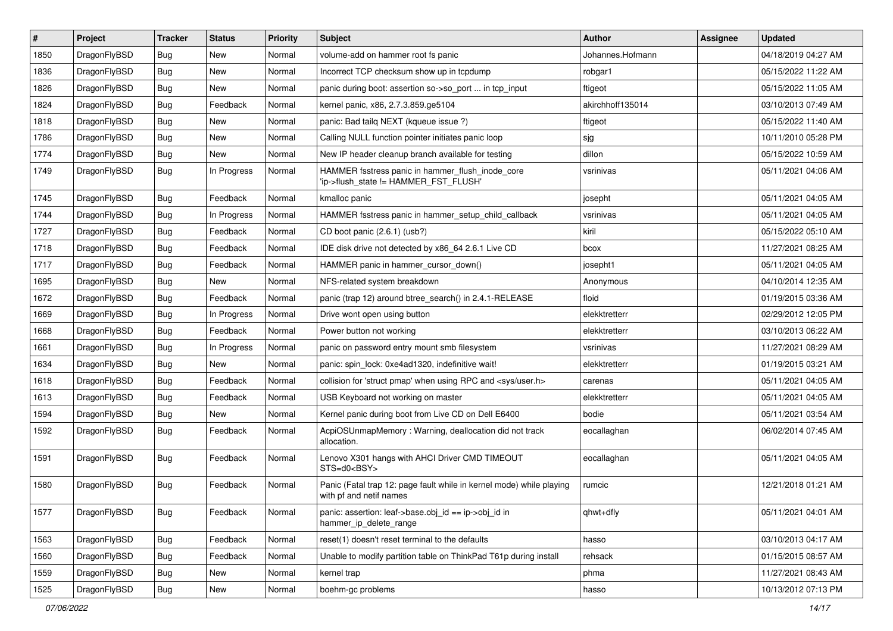| $\vert$ # | Project      | <b>Tracker</b> | <b>Status</b> | <b>Priority</b> | Subject                                                                                         | <b>Author</b>    | <b>Assignee</b> | <b>Updated</b>      |
|-----------|--------------|----------------|---------------|-----------------|-------------------------------------------------------------------------------------------------|------------------|-----------------|---------------------|
| 1850      | DragonFlyBSD | <b>Bug</b>     | <b>New</b>    | Normal          | volume-add on hammer root fs panic                                                              | Johannes.Hofmann |                 | 04/18/2019 04:27 AM |
| 1836      | DragonFlyBSD | Bug            | <b>New</b>    | Normal          | Incorrect TCP checksum show up in tcpdump                                                       | robgar1          |                 | 05/15/2022 11:22 AM |
| 1826      | DragonFlyBSD | <b>Bug</b>     | New           | Normal          | panic during boot: assertion so->so_port  in tcp_input                                          | ftigeot          |                 | 05/15/2022 11:05 AM |
| 1824      | DragonFlyBSD | Bug            | Feedback      | Normal          | kernel panic, x86, 2.7.3.859.ge5104                                                             | akirchhoff135014 |                 | 03/10/2013 07:49 AM |
| 1818      | DragonFlyBSD | Bug            | <b>New</b>    | Normal          | panic: Bad tailq NEXT (kqueue issue ?)                                                          | ftigeot          |                 | 05/15/2022 11:40 AM |
| 1786      | DragonFlyBSD | <b>Bug</b>     | New           | Normal          | Calling NULL function pointer initiates panic loop                                              | sjg              |                 | 10/11/2010 05:28 PM |
| 1774      | DragonFlyBSD | Bug            | <b>New</b>    | Normal          | New IP header cleanup branch available for testing                                              | dillon           |                 | 05/15/2022 10:59 AM |
| 1749      | DragonFlyBSD | Bug            | In Progress   | Normal          | HAMMER fsstress panic in hammer_flush_inode_core<br>'ip->flush_state != HAMMER_FST_FLUSH'       | vsrinivas        |                 | 05/11/2021 04:06 AM |
| 1745      | DragonFlyBSD | <b>Bug</b>     | Feedback      | Normal          | kmalloc panic                                                                                   | josepht          |                 | 05/11/2021 04:05 AM |
| 1744      | DragonFlyBSD | <b>Bug</b>     | In Progress   | Normal          | HAMMER fsstress panic in hammer_setup_child_callback                                            | vsrinivas        |                 | 05/11/2021 04:05 AM |
| 1727      | DragonFlyBSD | <b>Bug</b>     | Feedback      | Normal          | CD boot panic (2.6.1) (usb?)                                                                    | kiril            |                 | 05/15/2022 05:10 AM |
| 1718      | DragonFlyBSD | <b>Bug</b>     | Feedback      | Normal          | IDE disk drive not detected by x86 64 2.6.1 Live CD                                             | bcox             |                 | 11/27/2021 08:25 AM |
| 1717      | DragonFlyBSD | <b>Bug</b>     | Feedback      | Normal          | HAMMER panic in hammer cursor down()                                                            | josepht1         |                 | 05/11/2021 04:05 AM |
| 1695      | DragonFlyBSD | Bug            | <b>New</b>    | Normal          | NFS-related system breakdown                                                                    | Anonymous        |                 | 04/10/2014 12:35 AM |
| 1672      | DragonFlyBSD | <b>Bug</b>     | Feedback      | Normal          | panic (trap 12) around btree_search() in 2.4.1-RELEASE                                          | floid            |                 | 01/19/2015 03:36 AM |
| 1669      | DragonFlyBSD | <b>Bug</b>     | In Progress   | Normal          | Drive wont open using button                                                                    | elekktretterr    |                 | 02/29/2012 12:05 PM |
| 1668      | DragonFlyBSD | <b>Bug</b>     | Feedback      | Normal          | Power button not working                                                                        | elekktretterr    |                 | 03/10/2013 06:22 AM |
| 1661      | DragonFlyBSD | <b>Bug</b>     | In Progress   | Normal          | panic on password entry mount smb filesystem                                                    | vsrinivas        |                 | 11/27/2021 08:29 AM |
| 1634      | DragonFlyBSD | Bug            | <b>New</b>    | Normal          | panic: spin_lock: 0xe4ad1320, indefinitive wait!                                                | elekktretterr    |                 | 01/19/2015 03:21 AM |
| 1618      | DragonFlyBSD | <b>Bug</b>     | Feedback      | Normal          | collision for 'struct pmap' when using RPC and <sys user.h=""></sys>                            | carenas          |                 | 05/11/2021 04:05 AM |
| 1613      | DragonFlyBSD | <b>Bug</b>     | Feedback      | Normal          | USB Keyboard not working on master                                                              | elekktretterr    |                 | 05/11/2021 04:05 AM |
| 1594      | DragonFlyBSD | <b>Bug</b>     | <b>New</b>    | Normal          | Kernel panic during boot from Live CD on Dell E6400                                             | bodie            |                 | 05/11/2021 03:54 AM |
| 1592      | DragonFlyBSD | <b>Bug</b>     | Feedback      | Normal          | AcpiOSUnmapMemory: Warning, deallocation did not track<br>allocation.                           | eocallaghan      |                 | 06/02/2014 07:45 AM |
| 1591      | DragonFlyBSD | <b>Bug</b>     | Feedback      | Normal          | Lenovo X301 hangs with AHCI Driver CMD TIMEOUT<br>STS=d0 <bsy></bsy>                            | eocallaghan      |                 | 05/11/2021 04:05 AM |
| 1580      | DragonFlyBSD | Bug            | Feedback      | Normal          | Panic (Fatal trap 12: page fault while in kernel mode) while playing<br>with pf and netif names | rumcic           |                 | 12/21/2018 01:21 AM |
| 1577      | DragonFlyBSD | <b>Bug</b>     | Feedback      | Normal          | panic: assertion: leaf->base.obj_id == ip->obj_id in<br>hammer_ip_delete_range                  | qhwt+dfly        |                 | 05/11/2021 04:01 AM |
| 1563      | DragonFlyBSD | Bug            | Feedback      | Normal          | reset(1) doesn't reset terminal to the defaults                                                 | hasso            |                 | 03/10/2013 04:17 AM |
| 1560      | DragonFlyBSD | <b>Bug</b>     | Feedback      | Normal          | Unable to modify partition table on ThinkPad T61p during install                                | rehsack          |                 | 01/15/2015 08:57 AM |
| 1559      | DragonFlyBSD | Bug            | New           | Normal          | kernel trap                                                                                     | phma             |                 | 11/27/2021 08:43 AM |
| 1525      | DragonFlyBSD | <b>Bug</b>     | New           | Normal          | boehm-gc problems                                                                               | hasso            |                 | 10/13/2012 07:13 PM |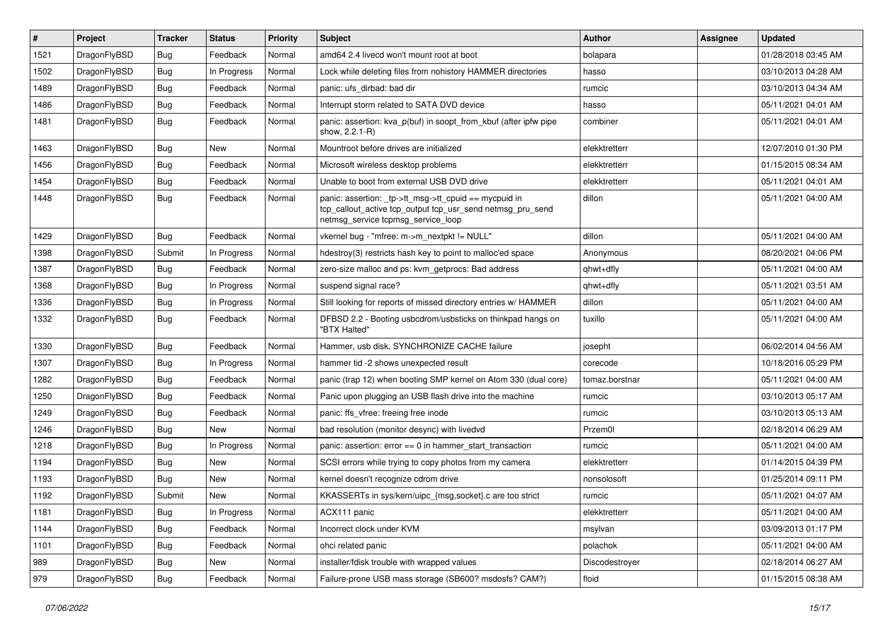| $\#$ | Project      | <b>Tracker</b> | <b>Status</b> | <b>Priority</b> | <b>Subject</b>                                                                                                                                            | <b>Author</b>  | Assignee | <b>Updated</b>      |
|------|--------------|----------------|---------------|-----------------|-----------------------------------------------------------------------------------------------------------------------------------------------------------|----------------|----------|---------------------|
| 1521 | DragonFlyBSD | <b>Bug</b>     | Feedback      | Normal          | amd64 2.4 livecd won't mount root at boot                                                                                                                 | bolapara       |          | 01/28/2018 03:45 AM |
| 1502 | DragonFlyBSD | <b>Bug</b>     | In Progress   | Normal          | Lock while deleting files from nohistory HAMMER directories                                                                                               | hasso          |          | 03/10/2013 04:28 AM |
| 1489 | DragonFlyBSD | <b>Bug</b>     | Feedback      | Normal          | panic: ufs dirbad: bad dir                                                                                                                                | rumcic         |          | 03/10/2013 04:34 AM |
| 1486 | DragonFlyBSD | <b>Bug</b>     | Feedback      | Normal          | Interrupt storm related to SATA DVD device                                                                                                                | hasso          |          | 05/11/2021 04:01 AM |
| 1481 | DragonFlyBSD | <b>Bug</b>     | Feedback      | Normal          | panic: assertion: kva_p(buf) in soopt_from_kbuf (after ipfw pipe<br>show, 2.2.1-R)                                                                        | combiner       |          | 05/11/2021 04:01 AM |
| 1463 | DragonFlyBSD | <b>Bug</b>     | New           | Normal          | Mountroot before drives are initialized                                                                                                                   | elekktretterr  |          | 12/07/2010 01:30 PM |
| 1456 | DragonFlyBSD | Bug            | Feedback      | Normal          | Microsoft wireless desktop problems                                                                                                                       | elekktretterr  |          | 01/15/2015 08:34 AM |
| 1454 | DragonFlyBSD | Bug            | Feedback      | Normal          | Unable to boot from external USB DVD drive                                                                                                                | elekktretterr  |          | 05/11/2021 04:01 AM |
| 1448 | DragonFlyBSD | <b>Bug</b>     | Feedback      | Normal          | panic: assertion: _tp->tt_msg->tt_cpuid == mycpuid in<br>tcp_callout_active tcp_output tcp_usr_send netmsg_pru_send<br>netmsg_service tcpmsg_service_loop | dillon         |          | 05/11/2021 04:00 AM |
| 1429 | DragonFlyBSD | <b>Bug</b>     | Feedback      | Normal          | vkernel bug - "mfree: m->m_nextpkt != NULL"                                                                                                               | dillon         |          | 05/11/2021 04:00 AM |
| 1398 | DragonFlyBSD | Submit         | In Progress   | Normal          | hdestroy(3) restricts hash key to point to malloc'ed space                                                                                                | Anonymous      |          | 08/20/2021 04:06 PM |
| 1387 | DragonFlyBSD | <b>Bug</b>     | Feedback      | Normal          | zero-size malloc and ps: kvm_getprocs: Bad address                                                                                                        | qhwt+dfly      |          | 05/11/2021 04:00 AM |
| 1368 | DragonFlyBSD | Bug            | In Progress   | Normal          | suspend signal race?                                                                                                                                      | qhwt+dfly      |          | 05/11/2021 03:51 AM |
| 1336 | DragonFlyBSD | Bug            | In Progress   | Normal          | Still looking for reports of missed directory entries w/ HAMMER                                                                                           | dillon         |          | 05/11/2021 04:00 AM |
| 1332 | DragonFlyBSD | <b>Bug</b>     | Feedback      | Normal          | DFBSD 2.2 - Booting usbcdrom/usbsticks on thinkpad hangs on<br>"BTX Halted"                                                                               | tuxillo        |          | 05/11/2021 04:00 AM |
| 1330 | DragonFlyBSD | <b>Bug</b>     | Feedback      | Normal          | Hammer, usb disk, SYNCHRONIZE CACHE failure                                                                                                               | josepht        |          | 06/02/2014 04:56 AM |
| 1307 | DragonFlyBSD | Bug            | In Progress   | Normal          | hammer tid -2 shows unexpected result                                                                                                                     | corecode       |          | 10/18/2016 05:29 PM |
| 1282 | DragonFlyBSD | <b>Bug</b>     | Feedback      | Normal          | panic (trap 12) when booting SMP kernel on Atom 330 (dual core)                                                                                           | tomaz.borstnar |          | 05/11/2021 04:00 AM |
| 1250 | DragonFlyBSD | <b>Bug</b>     | Feedback      | Normal          | Panic upon plugging an USB flash drive into the machine                                                                                                   | rumcic         |          | 03/10/2013 05:17 AM |
| 1249 | DragonFlyBSD | <b>Bug</b>     | Feedback      | Normal          | panic: ffs vfree: freeing free inode                                                                                                                      | rumcic         |          | 03/10/2013 05:13 AM |
| 1246 | DragonFlyBSD | Bug            | New           | Normal          | bad resolution (monitor desync) with livedvd                                                                                                              | Przem0l        |          | 02/18/2014 06:29 AM |
| 1218 | DragonFlyBSD | <b>Bug</b>     | In Progress   | Normal          | panic: assertion: error == 0 in hammer_start_transaction                                                                                                  | rumcic         |          | 05/11/2021 04:00 AM |
| 1194 | DragonFlyBSD | <b>Bug</b>     | New           | Normal          | SCSI errors while trying to copy photos from my camera                                                                                                    | elekktretterr  |          | 01/14/2015 04:39 PM |
| 1193 | DragonFlyBSD | Bug            | New           | Normal          | kernel doesn't recognize cdrom drive                                                                                                                      | nonsolosoft    |          | 01/25/2014 09:11 PM |
| 1192 | DragonFlyBSD | Submit         | New           | Normal          | KKASSERTs in sys/kern/uipc_{msg,socket}.c are too strict                                                                                                  | rumcic         |          | 05/11/2021 04:07 AM |
| 1181 | DragonFlyBSD | <b>Bug</b>     | In Progress   | Normal          | ACX111 panic                                                                                                                                              | elekktretterr  |          | 05/11/2021 04:00 AM |
| 1144 | DragonFlyBSD | Bug            | Feedback      | Normal          | Incorrect clock under KVM                                                                                                                                 | msylvan        |          | 03/09/2013 01:17 PM |
| 1101 | DragonFlyBSD | <b>Bug</b>     | Feedback      | Normal          | ohci related panic                                                                                                                                        | polachok       |          | 05/11/2021 04:00 AM |
| 989  | DragonFlyBSD | <b>Bug</b>     | New           | Normal          | installer/fdisk trouble with wrapped values                                                                                                               | Discodestroyer |          | 02/18/2014 06:27 AM |
| 979  | DragonFlyBSD | <b>Bug</b>     | Feedback      | Normal          | Failure-prone USB mass storage (SB600? msdosfs? CAM?)                                                                                                     | floid          |          | 01/15/2015 08:38 AM |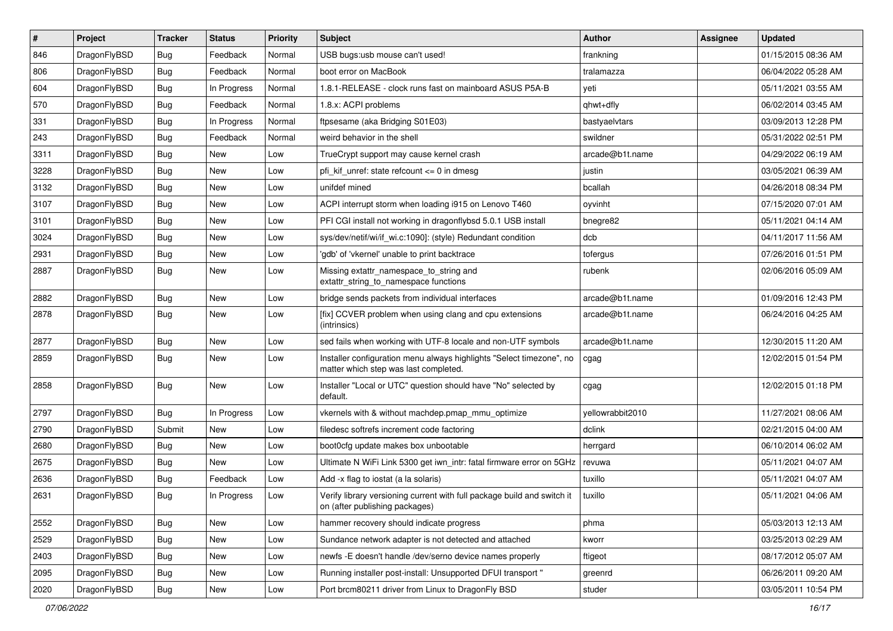| $\vert$ # | Project      | <b>Tracker</b> | <b>Status</b> | <b>Priority</b> | Subject                                                                                                       | <b>Author</b>    | Assignee | <b>Updated</b>      |
|-----------|--------------|----------------|---------------|-----------------|---------------------------------------------------------------------------------------------------------------|------------------|----------|---------------------|
| 846       | DragonFlyBSD | <b>Bug</b>     | Feedback      | Normal          | USB bugs:usb mouse can't used!                                                                                | frankning        |          | 01/15/2015 08:36 AM |
| 806       | DragonFlyBSD | <b>Bug</b>     | Feedback      | Normal          | boot error on MacBook                                                                                         | tralamazza       |          | 06/04/2022 05:28 AM |
| 604       | DragonFlyBSD | <b>Bug</b>     | In Progress   | Normal          | 1.8.1-RELEASE - clock runs fast on mainboard ASUS P5A-B                                                       | yeti             |          | 05/11/2021 03:55 AM |
| 570       | DragonFlyBSD | <b>Bug</b>     | Feedback      | Normal          | 1.8.x: ACPI problems                                                                                          | qhwt+dfly        |          | 06/02/2014 03:45 AM |
| 331       | DragonFlyBSD | <b>Bug</b>     | In Progress   | Normal          | ftpsesame (aka Bridging S01E03)                                                                               | bastyaelvtars    |          | 03/09/2013 12:28 PM |
| 243       | DragonFlyBSD | <b>Bug</b>     | Feedback      | Normal          | weird behavior in the shell                                                                                   | swildner         |          | 05/31/2022 02:51 PM |
| 3311      | DragonFlyBSD | <b>Bug</b>     | New           | Low             | TrueCrypt support may cause kernel crash                                                                      | arcade@b1t.name  |          | 04/29/2022 06:19 AM |
| 3228      | DragonFlyBSD | <b>Bug</b>     | New           | Low             | pfi kif unref: state refcount $\leq$ 0 in dmesq                                                               | justin           |          | 03/05/2021 06:39 AM |
| 3132      | DragonFlyBSD | <b>Bug</b>     | <b>New</b>    | Low             | unifdef mined                                                                                                 | bcallah          |          | 04/26/2018 08:34 PM |
| 3107      | DragonFlyBSD | <b>Bug</b>     | New           | Low             | ACPI interrupt storm when loading i915 on Lenovo T460                                                         | oyvinht          |          | 07/15/2020 07:01 AM |
| 3101      | DragonFlyBSD | Bug            | <b>New</b>    | Low             | PFI CGI install not working in dragonflybsd 5.0.1 USB install                                                 | bnegre82         |          | 05/11/2021 04:14 AM |
| 3024      | DragonFlyBSD | Bug            | New           | Low             | sys/dev/netif/wi/if wi.c:1090]: (style) Redundant condition                                                   | dcb              |          | 04/11/2017 11:56 AM |
| 2931      | DragonFlyBSD | Bug            | New           | Low             | 'gdb' of 'vkernel' unable to print backtrace                                                                  | tofergus         |          | 07/26/2016 01:51 PM |
| 2887      | DragonFlyBSD | Bug            | New           | Low             | Missing extattr_namespace_to_string and<br>extattr_string_to_namespace functions                              | rubenk           |          | 02/06/2016 05:09 AM |
| 2882      | DragonFlyBSD | Bug            | <b>New</b>    | Low             | bridge sends packets from individual interfaces                                                               | arcade@b1t.name  |          | 01/09/2016 12:43 PM |
| 2878      | DragonFlyBSD | Bug            | New           | Low             | [fix] CCVER problem when using clang and cpu extensions<br>(intrinsics)                                       | arcade@b1t.name  |          | 06/24/2016 04:25 AM |
| 2877      | DragonFlyBSD | Bug            | <b>New</b>    | Low             | sed fails when working with UTF-8 locale and non-UTF symbols                                                  | arcade@b1t.name  |          | 12/30/2015 11:20 AM |
| 2859      | DragonFlyBSD | Bug            | New           | Low             | Installer configuration menu always highlights "Select timezone", no<br>matter which step was last completed. | cgag             |          | 12/02/2015 01:54 PM |
| 2858      | DragonFlyBSD | Bug            | New           | Low             | Installer "Local or UTC" question should have "No" selected by<br>default.                                    | cgag             |          | 12/02/2015 01:18 PM |
| 2797      | DragonFlyBSD | Bug            | In Progress   | Low             | vkernels with & without machdep.pmap_mmu_optimize                                                             | yellowrabbit2010 |          | 11/27/2021 08:06 AM |
| 2790      | DragonFlyBSD | Submit         | <b>New</b>    | Low             | filedesc softrefs increment code factoring                                                                    | dclink           |          | 02/21/2015 04:00 AM |
| 2680      | DragonFlyBSD | Bug            | New           | Low             | boot0cfg update makes box unbootable                                                                          | herrgard         |          | 06/10/2014 06:02 AM |
| 2675      | DragonFlyBSD | Bug            | New           | Low             | Ultimate N WiFi Link 5300 get iwn_intr: fatal firmware error on 5GHz                                          | revuwa           |          | 05/11/2021 04:07 AM |
| 2636      | DragonFlyBSD | Bug            | Feedback      | Low             | Add -x flag to iostat (a la solaris)                                                                          | tuxillo          |          | 05/11/2021 04:07 AM |
| 2631      | DragonFlyBSD | Bug            | In Progress   | Low             | Verify library versioning current with full package build and switch it<br>on (after publishing packages)     | tuxillo          |          | 05/11/2021 04:06 AM |
| 2552      | DragonFlyBSD | <b>Bug</b>     | <b>New</b>    | Low             | hammer recovery should indicate progress                                                                      | phma             |          | 05/03/2013 12:13 AM |
| 2529      | DragonFlyBSD | <b>Bug</b>     | New           | Low             | Sundance network adapter is not detected and attached                                                         | kworr            |          | 03/25/2013 02:29 AM |
| 2403      | DragonFlyBSD | Bug            | <b>New</b>    | Low             | newfs - E doesn't handle /dev/serno device names properly                                                     | ftigeot          |          | 08/17/2012 05:07 AM |
| 2095      | DragonFlyBSD | <b>Bug</b>     | <b>New</b>    | Low             | Running installer post-install: Unsupported DFUI transport "                                                  | greenrd          |          | 06/26/2011 09:20 AM |
| 2020      | DragonFlyBSD | <b>Bug</b>     | New           | Low             | Port brcm80211 driver from Linux to DragonFly BSD                                                             | studer           |          | 03/05/2011 10:54 PM |